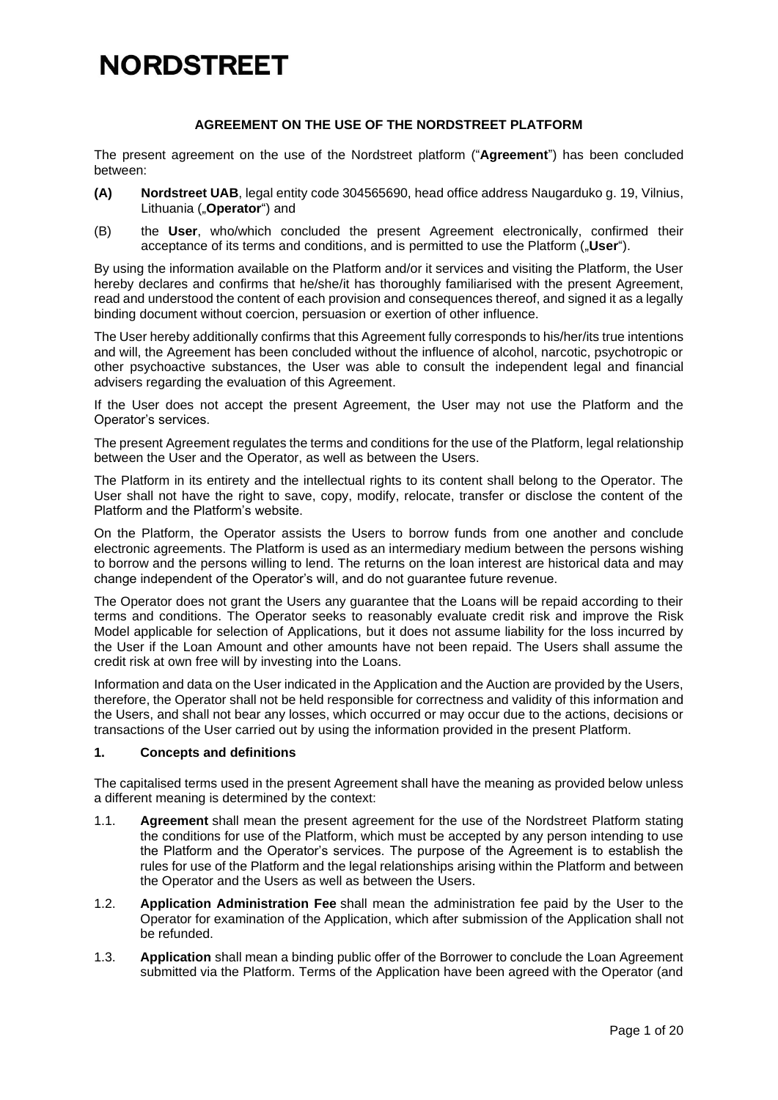### **AGREEMENT ON THE USE OF THE NORDSTREET PLATFORM**

The present agreement on the use of the Nordstreet platform ("**Agreement**") has been concluded between:

- **(A) Nordstreet UAB**, legal entity code 304565690, head office address Naugarduko g. 19, Vilnius, Lithuania ("**Operator**") and
- (B) the **User**, who/which concluded the present Agreement electronically, confirmed their acceptance of its terms and conditions, and is permitted to use the Platform ("**User**").

By using the information available on the Platform and/or it services and visiting the Platform, the User hereby declares and confirms that he/she/it has thoroughly familiarised with the present Agreement, read and understood the content of each provision and consequences thereof, and signed it as a legally binding document without coercion, persuasion or exertion of other influence.

The User hereby additionally confirms that this Agreement fully corresponds to his/her/its true intentions and will, the Agreement has been concluded without the influence of alcohol, narcotic, psychotropic or other psychoactive substances, the User was able to consult the independent legal and financial advisers regarding the evaluation of this Agreement.

If the User does not accept the present Agreement, the User may not use the Platform and the Operator's services.

The present Agreement regulates the terms and conditions for the use of the Platform, legal relationship between the User and the Operator, as well as between the Users.

The Platform in its entirety and the intellectual rights to its content shall belong to the Operator. The User shall not have the right to save, copy, modify, relocate, transfer or disclose the content of the Platform and the Platform's website.

On the Platform, the Operator assists the Users to borrow funds from one another and conclude electronic agreements. The Platform is used as an intermediary medium between the persons wishing to borrow and the persons willing to lend. The returns on the loan interest are historical data and may change independent of the Operator's will, and do not guarantee future revenue.

The Operator does not grant the Users any guarantee that the Loans will be repaid according to their terms and conditions. The Operator seeks to reasonably evaluate credit risk and improve the Risk Model applicable for selection of Applications, but it does not assume liability for the loss incurred by the User if the Loan Amount and other amounts have not been repaid. The Users shall assume the credit risk at own free will by investing into the Loans.

Information and data on the User indicated in the Application and the Auction are provided by the Users, therefore, the Operator shall not be held responsible for correctness and validity of this information and the Users, and shall not bear any losses, which occurred or may occur due to the actions, decisions or transactions of the User carried out by using the information provided in the present Platform.

#### **1. Concepts and definitions**

The capitalised terms used in the present Agreement shall have the meaning as provided below unless a different meaning is determined by the context:

- 1.1. **Agreement** shall mean the present agreement for the use of the Nordstreet Platform stating the conditions for use of the Platform, which must be accepted by any person intending to use the Platform and the Operator's services. The purpose of the Agreement is to establish the rules for use of the Platform and the legal relationships arising within the Platform and between the Operator and the Users as well as between the Users.
- 1.2. **Application Administration Fee** shall mean the administration fee paid by the User to the Operator for examination of the Application, which after submission of the Application shall not be refunded.
- 1.3. **Application** shall mean a binding public offer of the Borrower to conclude the Loan Agreement submitted via the Platform. Terms of the Application have been agreed with the Operator (and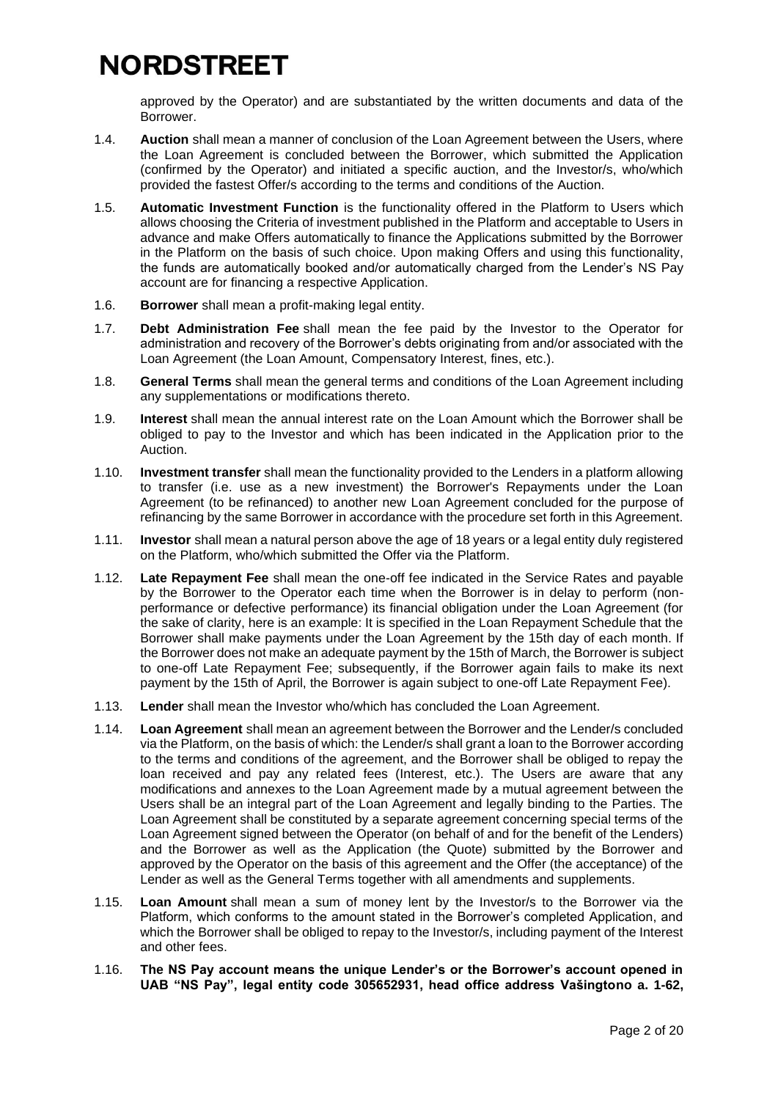approved by the Operator) and are substantiated by the written documents and data of the Borrower.

- 1.4. **Auction** shall mean a manner of conclusion of the Loan Agreement between the Users, where the Loan Agreement is concluded between the Borrower, which submitted the Application (confirmed by the Operator) and initiated a specific auction, and the Investor/s, who/which provided the fastest Offer/s according to the terms and conditions of the Auction.
- 1.5. **Automatic Investment Function** is the functionality offered in the Platform to Users which allows choosing the Criteria of investment published in the Platform and acceptable to Users in advance and make Offers automatically to finance the Applications submitted by the Borrower in the Platform on the basis of such choice. Upon making Offers and using this functionality, the funds are automatically booked and/or automatically charged from the Lender's NS Pay account are for financing a respective Application.
- 1.6. **Borrower** shall mean a profit-making legal entity.
- 1.7. **Debt Administration Fee** shall mean the fee paid by the Investor to the Operator for administration and recovery of the Borrower's debts originating from and/or associated with the Loan Agreement (the Loan Amount, Compensatory Interest, fines, etc.).
- 1.8. **General Terms** shall mean the general terms and conditions of the Loan Agreement including any supplementations or modifications thereto.
- 1.9. **Interest** shall mean the annual interest rate on the Loan Amount which the Borrower shall be obliged to pay to the Investor and which has been indicated in the Application prior to the Auction.
- 1.10. **Investment transfer** shall mean the functionality provided to the Lenders in a platform allowing to transfer (i.e. use as a new investment) the Borrower's Repayments under the Loan Agreement (to be refinanced) to another new Loan Agreement concluded for the purpose of refinancing by the same Borrower in accordance with the procedure set forth in this Agreement.
- 1.11. **Investor** shall mean a natural person above the age of 18 years or a legal entity duly registered on the Platform, who/which submitted the Offer via the Platform.
- 1.12. **Late Repayment Fee** shall mean the one-off fee indicated in the Service Rates and payable by the Borrower to the Operator each time when the Borrower is in delay to perform (nonperformance or defective performance) its financial obligation under the Loan Agreement (for the sake of clarity, here is an example: It is specified in the Loan Repayment Schedule that the Borrower shall make payments under the Loan Agreement by the 15th day of each month. If the Borrower does not make an adequate payment by the 15th of March, the Borrower is subject to one-off Late Repayment Fee; subsequently, if the Borrower again fails to make its next payment by the 15th of April, the Borrower is again subject to one-off Late Repayment Fee).
- 1.13. **Lender** shall mean the Investor who/which has concluded the Loan Agreement.
- 1.14. **Loan Agreement** shall mean an agreement between the Borrower and the Lender/s concluded via the Platform, on the basis of which: the Lender/s shall grant a loan to the Borrower according to the terms and conditions of the agreement, and the Borrower shall be obliged to repay the loan received and pay any related fees (Interest, etc.). The Users are aware that any modifications and annexes to the Loan Agreement made by a mutual agreement between the Users shall be an integral part of the Loan Agreement and legally binding to the Parties. The Loan Agreement shall be constituted by a separate agreement concerning special terms of the Loan Agreement signed between the Operator (on behalf of and for the benefit of the Lenders) and the Borrower as well as the Application (the Quote) submitted by the Borrower and approved by the Operator on the basis of this agreement and the Offer (the acceptance) of the Lender as well as the General Terms together with all amendments and supplements.
- 1.15. **Loan Amount** shall mean a sum of money lent by the Investor/s to the Borrower via the Platform, which conforms to the amount stated in the Borrower's completed Application, and which the Borrower shall be obliged to repay to the Investor/s, including payment of the Interest and other fees.
- 1.16. **The NS Pay account means the unique Lender's or the Borrower's account opened in UAB "NS Pay", legal entity code 305652931, head office address Vašingtono a. 1-62,**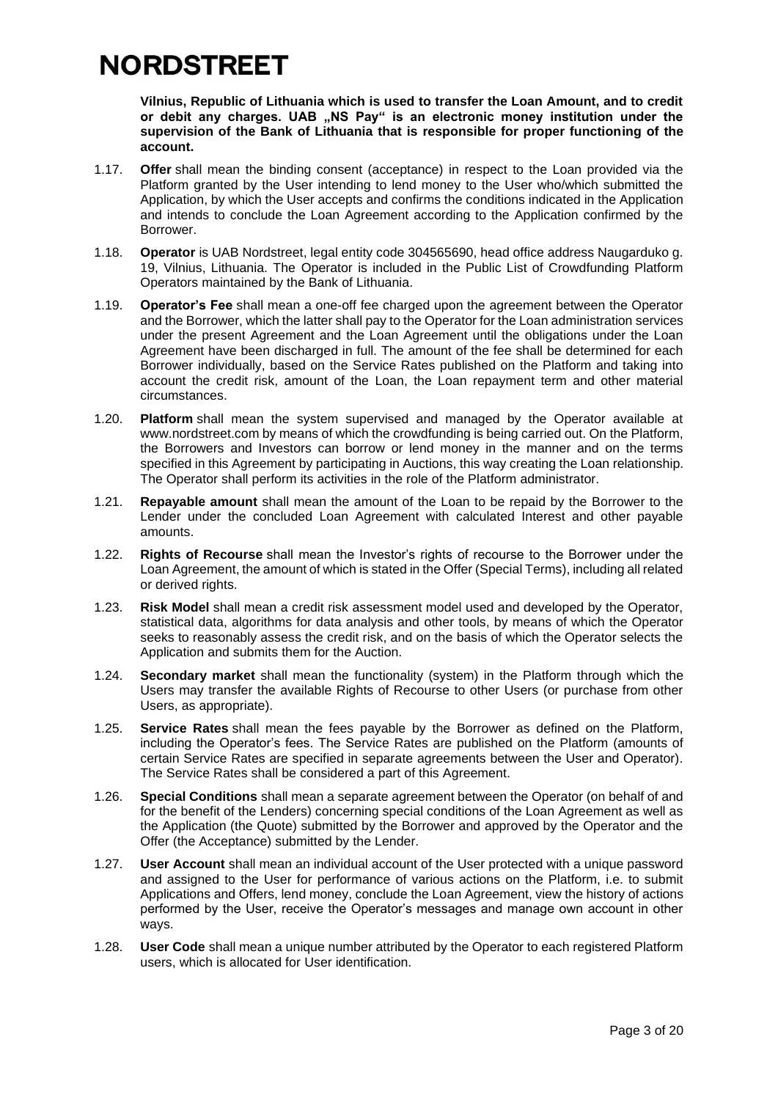**Vilnius, Republic of Lithuania which is used to transfer the Loan Amount, and to credit**  or debit any charges. UAB "NS Pay" is an electronic money institution under the **supervision of the Bank of Lithuania that is responsible for proper functioning of the account.**

- 1.17. **Offer** shall mean the binding consent (acceptance) in respect to the Loan provided via the Platform granted by the User intending to lend money to the User who/which submitted the Application, by which the User accepts and confirms the conditions indicated in the Application and intends to conclude the Loan Agreement according to the Application confirmed by the Borrower.
- 1.18. **Operator** is UAB Nordstreet, legal entity code 304565690, head office address Naugarduko g. 19, Vilnius, Lithuania. The Operator is included in the Public List of Crowdfunding Platform Operators maintained by the Bank of Lithuania.
- 1.19. **Operator's Fee** shall mean a one-off fee charged upon the agreement between the Operator and the Borrower, which the latter shall pay to the Operator for the Loan administration services under the present Agreement and the Loan Agreement until the obligations under the Loan Agreement have been discharged in full. The amount of the fee shall be determined for each Borrower individually, based on the Service Rates published on the Platform and taking into account the credit risk, amount of the Loan, the Loan repayment term and other material circumstances.
- 1.20. **Platform** shall mean the system supervised and managed by the Operator available at www.nordstreet.com by means of which the crowdfunding is being carried out. On the Platform, the Borrowers and Investors can borrow or lend money in the manner and on the terms specified in this Agreement by participating in Auctions, this way creating the Loan relationship. The Operator shall perform its activities in the role of the Platform administrator.
- 1.21. **Repayable amount** shall mean the amount of the Loan to be repaid by the Borrower to the Lender under the concluded Loan Agreement with calculated Interest and other payable amounts.
- 1.22. **Rights of Recourse** shall mean the Investor's rights of recourse to the Borrower under the Loan Agreement, the amount of which is stated in the Offer (Special Terms), including all related or derived rights.
- 1.23. **Risk Model** shall mean a credit risk assessment model used and developed by the Operator, statistical data, algorithms for data analysis and other tools, by means of which the Operator seeks to reasonably assess the credit risk, and on the basis of which the Operator selects the Application and submits them for the Auction.
- 1.24. **Secondary market** shall mean the functionality (system) in the Platform through which the Users may transfer the available Rights of Recourse to other Users (or purchase from other Users, as appropriate).
- 1.25. **Service Rates** shall mean the fees payable by the Borrower as defined on the Platform, including the Operator's fees. The Service Rates are published on the Platform (amounts of certain Service Rates are specified in separate agreements between the User and Operator). The Service Rates shall be considered a part of this Agreement.
- 1.26. **Special Conditions** shall mean a separate agreement between the Operator (on behalf of and for the benefit of the Lenders) concerning special conditions of the Loan Agreement as well as the Application (the Quote) submitted by the Borrower and approved by the Operator and the Offer (the Acceptance) submitted by the Lender.
- 1.27. **User Account** shall mean an individual account of the User protected with a unique password and assigned to the User for performance of various actions on the Platform, i.e. to submit Applications and Offers, lend money, conclude the Loan Agreement, view the history of actions performed by the User, receive the Operator's messages and manage own account in other ways.
- 1.28. **User Code** shall mean a unique number attributed by the Operator to each registered Platform users, which is allocated for User identification.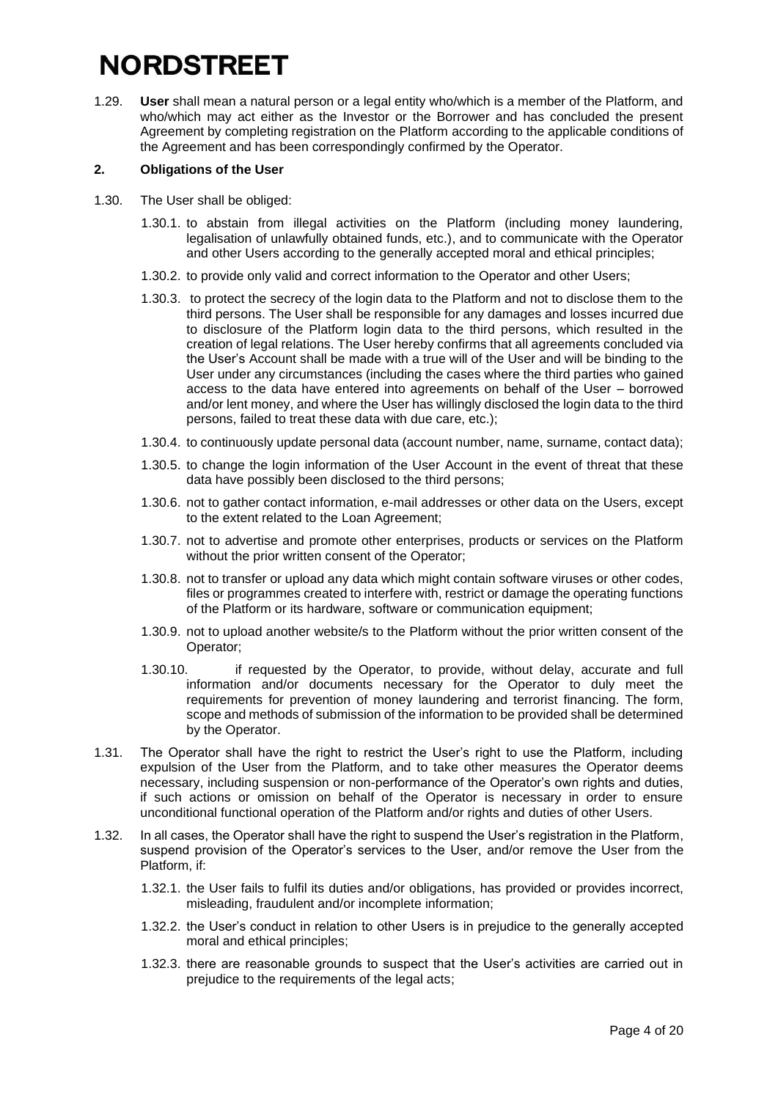1.29. **User** shall mean a natural person or a legal entity who/which is a member of the Platform, and who/which may act either as the Investor or the Borrower and has concluded the present Agreement by completing registration on the Platform according to the applicable conditions of the Agreement and has been correspondingly confirmed by the Operator.

### **2. Obligations of the User**

- 1.30. The User shall be obliged:
	- 1.30.1. to abstain from illegal activities on the Platform (including money laundering, legalisation of unlawfully obtained funds, etc.), and to communicate with the Operator and other Users according to the generally accepted moral and ethical principles;
	- 1.30.2. to provide only valid and correct information to the Operator and other Users;
	- 1.30.3. to protect the secrecy of the login data to the Platform and not to disclose them to the third persons. The User shall be responsible for any damages and losses incurred due to disclosure of the Platform login data to the third persons, which resulted in the creation of legal relations. The User hereby confirms that all agreements concluded via the User's Account shall be made with a true will of the User and will be binding to the User under any circumstances (including the cases where the third parties who gained access to the data have entered into agreements on behalf of the User – borrowed and/or lent money, and where the User has willingly disclosed the login data to the third persons, failed to treat these data with due care, etc.);
	- 1.30.4. to continuously update personal data (account number, name, surname, contact data);
	- 1.30.5. to change the login information of the User Account in the event of threat that these data have possibly been disclosed to the third persons;
	- 1.30.6. not to gather contact information, e-mail addresses or other data on the Users, except to the extent related to the Loan Agreement;
	- 1.30.7. not to advertise and promote other enterprises, products or services on the Platform without the prior written consent of the Operator;
	- 1.30.8. not to transfer or upload any data which might contain software viruses or other codes, files or programmes created to interfere with, restrict or damage the operating functions of the Platform or its hardware, software or communication equipment;
	- 1.30.9. not to upload another website/s to the Platform without the prior written consent of the Operator;
	- 1.30.10. if requested by the Operator, to provide, without delay, accurate and full information and/or documents necessary for the Operator to duly meet the requirements for prevention of money laundering and terrorist financing. The form, scope and methods of submission of the information to be provided shall be determined by the Operator.
- 1.31. The Operator shall have the right to restrict the User's right to use the Platform, including expulsion of the User from the Platform, and to take other measures the Operator deems necessary, including suspension or non-performance of the Operator's own rights and duties, if such actions or omission on behalf of the Operator is necessary in order to ensure unconditional functional operation of the Platform and/or rights and duties of other Users.
- 1.32. In all cases, the Operator shall have the right to suspend the User's registration in the Platform, suspend provision of the Operator's services to the User, and/or remove the User from the Platform, if:
	- 1.32.1. the User fails to fulfil its duties and/or obligations, has provided or provides incorrect, misleading, fraudulent and/or incomplete information;
	- 1.32.2. the User's conduct in relation to other Users is in prejudice to the generally accepted moral and ethical principles;
	- 1.32.3. there are reasonable grounds to suspect that the User's activities are carried out in prejudice to the requirements of the legal acts;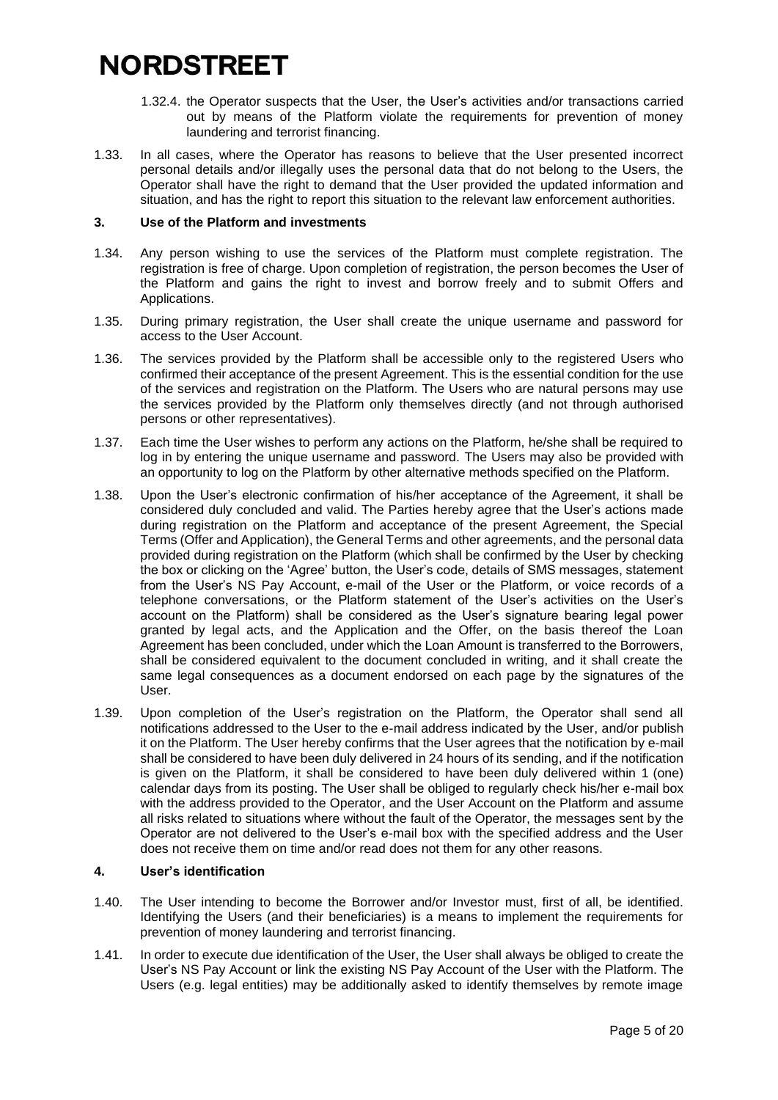- 1.32.4. the Operator suspects that the User, the User's activities and/or transactions carried out by means of the Platform violate the requirements for prevention of money laundering and terrorist financing.
- 1.33. In all cases, where the Operator has reasons to believe that the User presented incorrect personal details and/or illegally uses the personal data that do not belong to the Users, the Operator shall have the right to demand that the User provided the updated information and situation, and has the right to report this situation to the relevant law enforcement authorities.

#### **3. Use of the Platform and investments**

- 1.34. Any person wishing to use the services of the Platform must complete registration. The registration is free of charge. Upon completion of registration, the person becomes the User of the Platform and gains the right to invest and borrow freely and to submit Offers and Applications.
- 1.35. During primary registration, the User shall create the unique username and password for access to the User Account.
- 1.36. The services provided by the Platform shall be accessible only to the registered Users who confirmed their acceptance of the present Agreement. This is the essential condition for the use of the services and registration on the Platform. The Users who are natural persons may use the services provided by the Platform only themselves directly (and not through authorised persons or other representatives).
- 1.37. Each time the User wishes to perform any actions on the Platform, he/she shall be required to log in by entering the unique username and password. The Users may also be provided with an opportunity to log on the Platform by other alternative methods specified on the Platform.
- 1.38. Upon the User's electronic confirmation of his/her acceptance of the Agreement, it shall be considered duly concluded and valid. The Parties hereby agree that the User's actions made during registration on the Platform and acceptance of the present Agreement, the Special Terms (Offer and Application), the General Terms and other agreements, and the personal data provided during registration on the Platform (which shall be confirmed by the User by checking the box or clicking on the 'Agree' button, the User's code, details of SMS messages, statement from the User's NS Pay Account, e-mail of the User or the Platform, or voice records of a telephone conversations, or the Platform statement of the User's activities on the User's account on the Platform) shall be considered as the User's signature bearing legal power granted by legal acts, and the Application and the Offer, on the basis thereof the Loan Agreement has been concluded, under which the Loan Amount is transferred to the Borrowers, shall be considered equivalent to the document concluded in writing, and it shall create the same legal consequences as a document endorsed on each page by the signatures of the User.
- 1.39. Upon completion of the User's registration on the Platform, the Operator shall send all notifications addressed to the User to the e-mail address indicated by the User, and/or publish it on the Platform. The User hereby confirms that the User agrees that the notification by e-mail shall be considered to have been duly delivered in 24 hours of its sending, and if the notification is given on the Platform, it shall be considered to have been duly delivered within 1 (one) calendar days from its posting. The User shall be obliged to regularly check his/her e-mail box with the address provided to the Operator, and the User Account on the Platform and assume all risks related to situations where without the fault of the Operator, the messages sent by the Operator are not delivered to the User's e-mail box with the specified address and the User does not receive them on time and/or read does not them for any other reasons.

#### **4. User's identification**

- 1.40. The User intending to become the Borrower and/or Investor must, first of all, be identified. Identifying the Users (and their beneficiaries) is a means to implement the requirements for prevention of money laundering and terrorist financing.
- 1.41. In order to execute due identification of the User, the User shall always be obliged to create the User's NS Pay Account or link the existing NS Pay Account of the User with the Platform. The Users (e.g. legal entities) may be additionally asked to identify themselves by remote image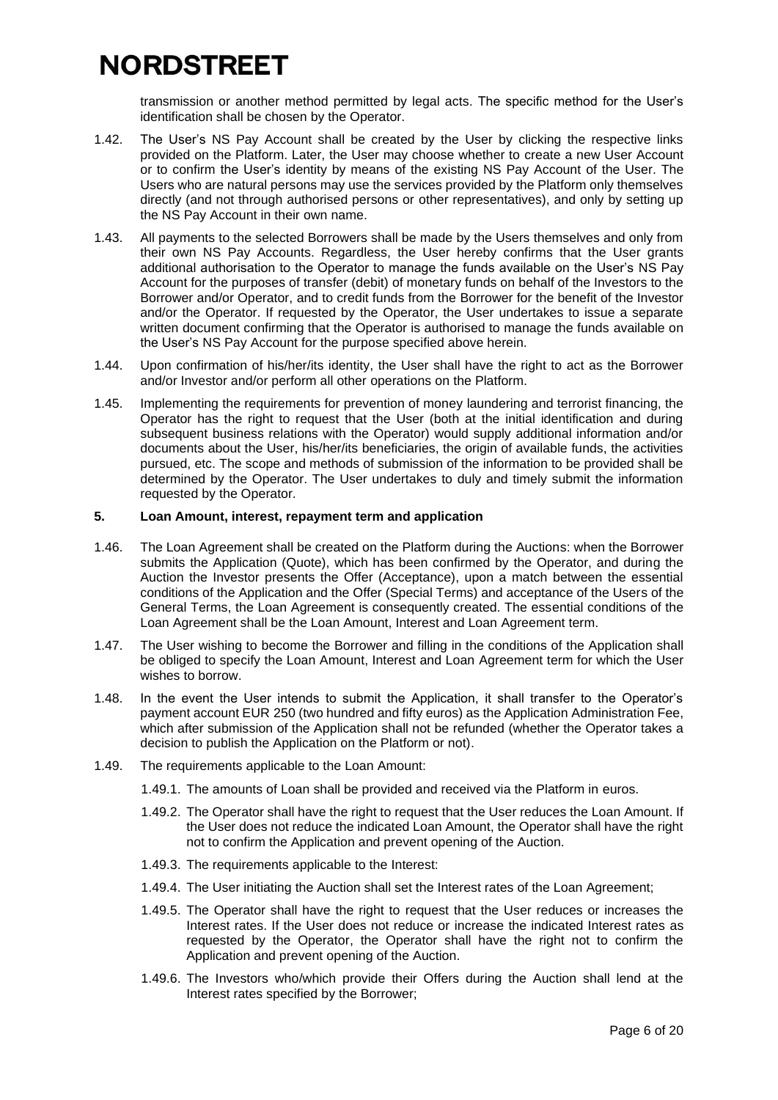transmission or another method permitted by legal acts. The specific method for the User's identification shall be chosen by the Operator.

- 1.42. The User's NS Pay Account shall be created by the User by clicking the respective links provided on the Platform. Later, the User may choose whether to create a new User Account or to confirm the User's identity by means of the existing NS Pay Account of the User. The Users who are natural persons may use the services provided by the Platform only themselves directly (and not through authorised persons or other representatives), and only by setting up the NS Pay Account in their own name.
- 1.43. All payments to the selected Borrowers shall be made by the Users themselves and only from their own NS Pay Accounts. Regardless, the User hereby confirms that the User grants additional authorisation to the Operator to manage the funds available on the User's NS Pay Account for the purposes of transfer (debit) of monetary funds on behalf of the Investors to the Borrower and/or Operator, and to credit funds from the Borrower for the benefit of the Investor and/or the Operator. If requested by the Operator, the User undertakes to issue a separate written document confirming that the Operator is authorised to manage the funds available on the User's NS Pay Account for the purpose specified above herein.
- 1.44. Upon confirmation of his/her/its identity, the User shall have the right to act as the Borrower and/or Investor and/or perform all other operations on the Platform.
- 1.45. Implementing the requirements for prevention of money laundering and terrorist financing, the Operator has the right to request that the User (both at the initial identification and during subsequent business relations with the Operator) would supply additional information and/or documents about the User, his/her/its beneficiaries, the origin of available funds, the activities pursued, etc. The scope and methods of submission of the information to be provided shall be determined by the Operator. The User undertakes to duly and timely submit the information requested by the Operator.

#### **5. Loan Amount, interest, repayment term and application**

- 1.46. The Loan Agreement shall be created on the Platform during the Auctions: when the Borrower submits the Application (Quote), which has been confirmed by the Operator, and during the Auction the Investor presents the Offer (Acceptance), upon a match between the essential conditions of the Application and the Offer (Special Terms) and acceptance of the Users of the General Terms, the Loan Agreement is consequently created. The essential conditions of the Loan Agreement shall be the Loan Amount, Interest and Loan Agreement term.
- 1.47. The User wishing to become the Borrower and filling in the conditions of the Application shall be obliged to specify the Loan Amount, Interest and Loan Agreement term for which the User wishes to borrow.
- 1.48. In the event the User intends to submit the Application, it shall transfer to the Operator's payment account EUR 250 (two hundred and fifty euros) as the Application Administration Fee, which after submission of the Application shall not be refunded (whether the Operator takes a decision to publish the Application on the Platform or not).
- 1.49. The requirements applicable to the Loan Amount:
	- 1.49.1. The amounts of Loan shall be provided and received via the Platform in euros.
	- 1.49.2. The Operator shall have the right to request that the User reduces the Loan Amount. If the User does not reduce the indicated Loan Amount, the Operator shall have the right not to confirm the Application and prevent opening of the Auction.
	- 1.49.3. The requirements applicable to the Interest:
	- 1.49.4. The User initiating the Auction shall set the Interest rates of the Loan Agreement;
	- 1.49.5. The Operator shall have the right to request that the User reduces or increases the Interest rates. If the User does not reduce or increase the indicated Interest rates as requested by the Operator, the Operator shall have the right not to confirm the Application and prevent opening of the Auction.
	- 1.49.6. The Investors who/which provide their Offers during the Auction shall lend at the Interest rates specified by the Borrower;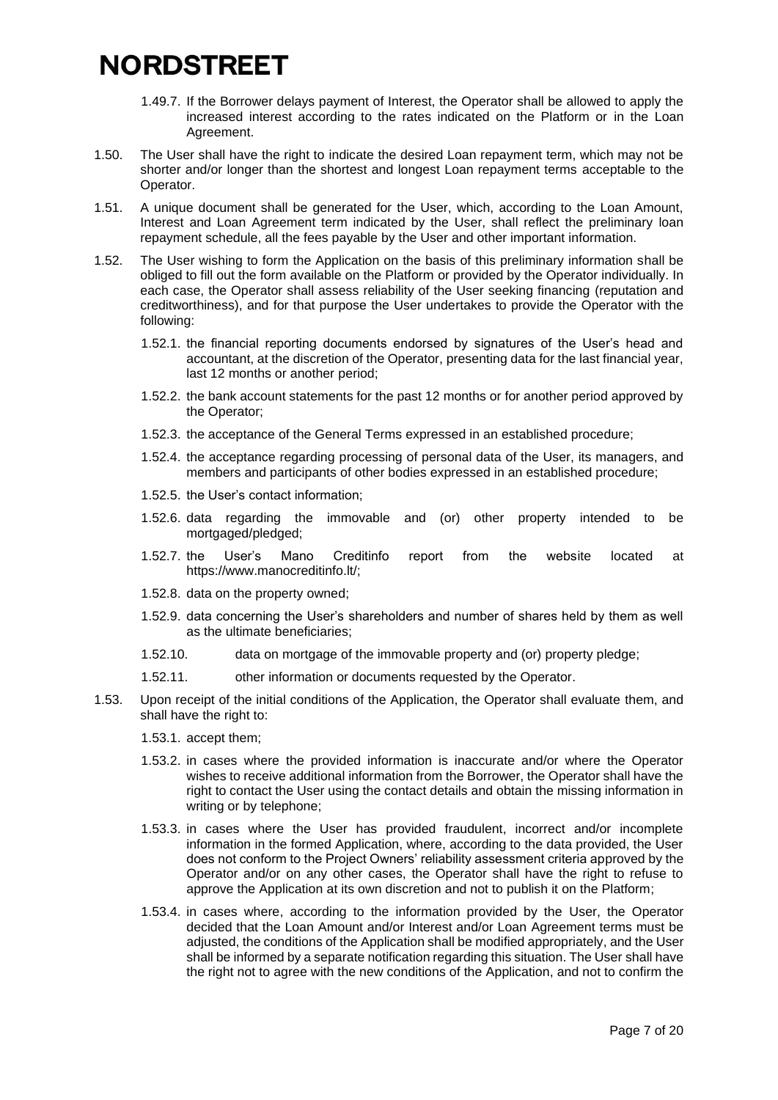- 1.49.7. If the Borrower delays payment of Interest, the Operator shall be allowed to apply the increased interest according to the rates indicated on the Platform or in the Loan Agreement.
- 1.50. The User shall have the right to indicate the desired Loan repayment term, which may not be shorter and/or longer than the shortest and longest Loan repayment terms acceptable to the Operator.
- 1.51. A unique document shall be generated for the User, which, according to the Loan Amount, Interest and Loan Agreement term indicated by the User, shall reflect the preliminary loan repayment schedule, all the fees payable by the User and other important information.
- 1.52. The User wishing to form the Application on the basis of this preliminary information shall be obliged to fill out the form available on the Platform or provided by the Operator individually. In each case, the Operator shall assess reliability of the User seeking financing (reputation and creditworthiness), and for that purpose the User undertakes to provide the Operator with the following:
	- 1.52.1. the financial reporting documents endorsed by signatures of the User's head and accountant, at the discretion of the Operator, presenting data for the last financial year, last 12 months or another period;
	- 1.52.2. the bank account statements for the past 12 months or for another period approved by the Operator;
	- 1.52.3. the acceptance of the General Terms expressed in an established procedure;
	- 1.52.4. the acceptance regarding processing of personal data of the User, its managers, and members and participants of other bodies expressed in an established procedure;
	- 1.52.5. the User's contact information;
	- 1.52.6. data regarding the immovable and (or) other property intended to be mortgaged/pledged;
	- 1.52.7. the User's Mano Creditinfo report from the website located at [https://www.manocreditinfo.lt/;](https://www.manocreditinfo.lt/)
	- 1.52.8. data on the property owned;
	- 1.52.9. data concerning the User's shareholders and number of shares held by them as well as the ultimate beneficiaries;
	- 1.52.10. data on mortgage of the immovable property and (or) property pledge;
	- 1.52.11. other information or documents requested by the Operator.
- 1.53. Upon receipt of the initial conditions of the Application, the Operator shall evaluate them, and shall have the right to:
	- 1.53.1. accept them;
	- 1.53.2. in cases where the provided information is inaccurate and/or where the Operator wishes to receive additional information from the Borrower, the Operator shall have the right to contact the User using the contact details and obtain the missing information in writing or by telephone;
	- 1.53.3. in cases where the User has provided fraudulent, incorrect and/or incomplete information in the formed Application, where, according to the data provided, the User does not conform to the Project Owners' reliability assessment criteria approved by the Operator and/or on any other cases, the Operator shall have the right to refuse to approve the Application at its own discretion and not to publish it on the Platform;
	- 1.53.4. in cases where, according to the information provided by the User, the Operator decided that the Loan Amount and/or Interest and/or Loan Agreement terms must be adjusted, the conditions of the Application shall be modified appropriately, and the User shall be informed by a separate notification regarding this situation. The User shall have the right not to agree with the new conditions of the Application, and not to confirm the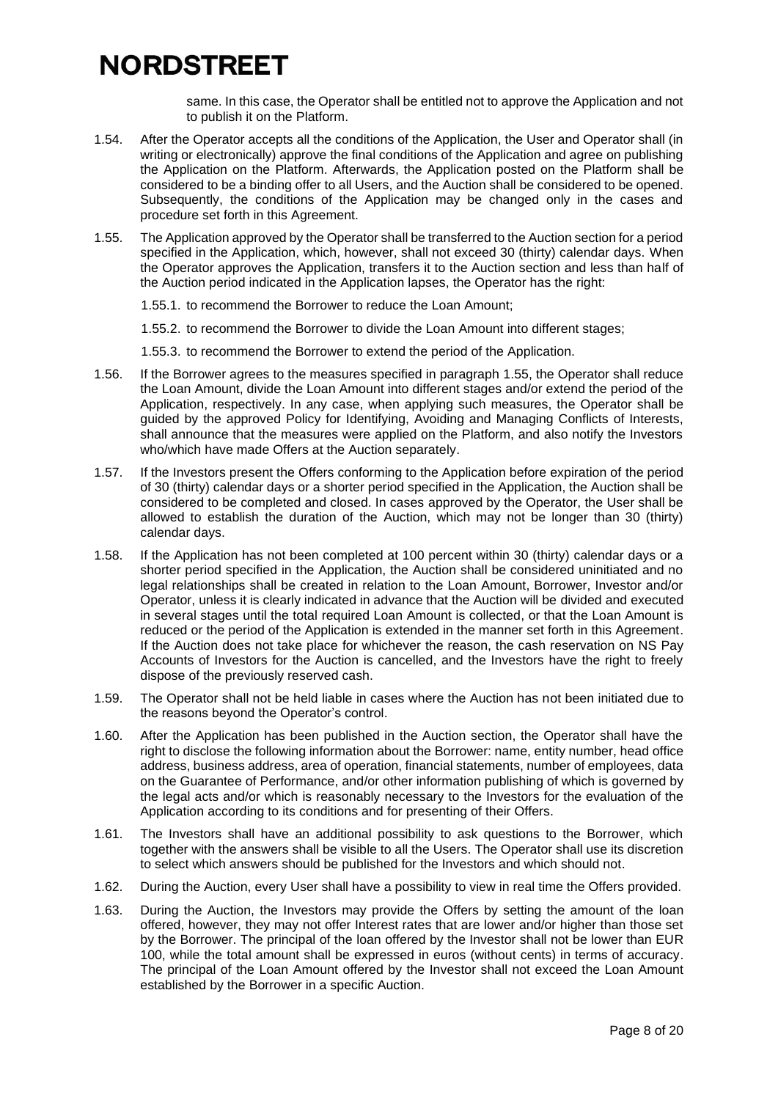same. In this case, the Operator shall be entitled not to approve the Application and not to publish it on the Platform.

- 1.54. After the Operator accepts all the conditions of the Application, the User and Operator shall (in writing or electronically) approve the final conditions of the Application and agree on publishing the Application on the Platform. Afterwards, the Application posted on the Platform shall be considered to be a binding offer to all Users, and the Auction shall be considered to be opened. Subsequently, the conditions of the Application may be changed only in the cases and procedure set forth in this Agreement.
- <span id="page-7-0"></span>1.55. The Application approved by the Operator shall be transferred to the Auction section for a period specified in the Application, which, however, shall not exceed 30 (thirty) calendar days. When the Operator approves the Application, transfers it to the Auction section and less than half of the Auction period indicated in the Application lapses, the Operator has the right:
	- 1.55.1. to recommend the Borrower to reduce the Loan Amount;
	- 1.55.2. to recommend the Borrower to divide the Loan Amount into different stages;
	- 1.55.3. to recommend the Borrower to extend the period of the Application.
- 1.56. If the Borrower agrees to the measures specified in paragraph [1.55,](#page-7-0) the Operator shall reduce the Loan Amount, divide the Loan Amount into different stages and/or extend the period of the Application, respectively. In any case, when applying such measures, the Operator shall be guided by the approved Policy for Identifying, Avoiding and Managing Conflicts of Interests, shall announce that the measures were applied on the Platform, and also notify the Investors who/which have made Offers at the Auction separately.
- 1.57. If the Investors present the Offers conforming to the Application before expiration of the period of 30 (thirty) calendar days or a shorter period specified in the Application, the Auction shall be considered to be completed and closed. In cases approved by the Operator, the User shall be allowed to establish the duration of the Auction, which may not be longer than 30 (thirty) calendar days.
- 1.58. If the Application has not been completed at 100 percent within 30 (thirty) calendar days or a shorter period specified in the Application, the Auction shall be considered uninitiated and no legal relationships shall be created in relation to the Loan Amount, Borrower, Investor and/or Operator, unless it is clearly indicated in advance that the Auction will be divided and executed in several stages until the total required Loan Amount is collected, or that the Loan Amount is reduced or the period of the Application is extended in the manner set forth in this Agreement. If the Auction does not take place for whichever the reason, the cash reservation on NS Pay Accounts of Investors for the Auction is cancelled, and the Investors have the right to freely dispose of the previously reserved cash.
- 1.59. The Operator shall not be held liable in cases where the Auction has not been initiated due to the reasons beyond the Operator's control.
- 1.60. After the Application has been published in the Auction section, the Operator shall have the right to disclose the following information about the Borrower: name, entity number, head office address, business address, area of operation, financial statements, number of employees, data on the Guarantee of Performance, and/or other information publishing of which is governed by the legal acts and/or which is reasonably necessary to the Investors for the evaluation of the Application according to its conditions and for presenting of their Offers.
- 1.61. The Investors shall have an additional possibility to ask questions to the Borrower, which together with the answers shall be visible to all the Users. The Operator shall use its discretion to select which answers should be published for the Investors and which should not.
- 1.62. During the Auction, every User shall have a possibility to view in real time the Offers provided.
- 1.63. During the Auction, the Investors may provide the Offers by setting the amount of the loan offered, however, they may not offer Interest rates that are lower and/or higher than those set by the Borrower. The principal of the loan offered by the Investor shall not be lower than EUR 100, while the total amount shall be expressed in euros (without cents) in terms of accuracy. The principal of the Loan Amount offered by the Investor shall not exceed the Loan Amount established by the Borrower in a specific Auction.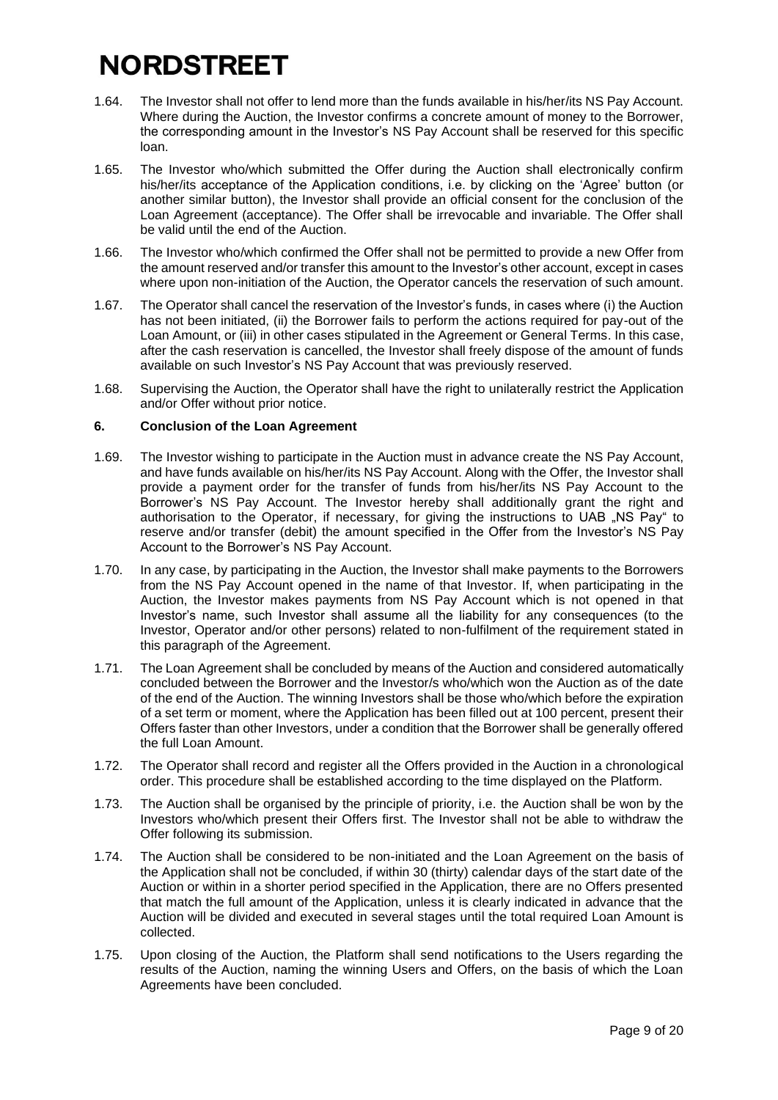- 1.64. The Investor shall not offer to lend more than the funds available in his/her/its NS Pay Account. Where during the Auction, the Investor confirms a concrete amount of money to the Borrower, the corresponding amount in the Investor's NS Pay Account shall be reserved for this specific loan.
- 1.65. The Investor who/which submitted the Offer during the Auction shall electronically confirm his/her/its acceptance of the Application conditions, i.e. by clicking on the 'Agree' button (or another similar button), the Investor shall provide an official consent for the conclusion of the Loan Agreement (acceptance). The Offer shall be irrevocable and invariable. The Offer shall be valid until the end of the Auction.
- 1.66. The Investor who/which confirmed the Offer shall not be permitted to provide a new Offer from the amount reserved and/or transfer this amount to the Investor's other account, except in cases where upon non-initiation of the Auction, the Operator cancels the reservation of such amount.
- 1.67. The Operator shall cancel the reservation of the Investor's funds, in cases where (i) the Auction has not been initiated, (ii) the Borrower fails to perform the actions required for pay-out of the Loan Amount, or (iii) in other cases stipulated in the Agreement or General Terms. In this case, after the cash reservation is cancelled, the Investor shall freely dispose of the amount of funds available on such Investor's NS Pay Account that was previously reserved.
- 1.68. Supervising the Auction, the Operator shall have the right to unilaterally restrict the Application and/or Offer without prior notice.

#### **6. Conclusion of the Loan Agreement**

- <span id="page-8-0"></span>1.69. The Investor wishing to participate in the Auction must in advance create the NS Pay Account, and have funds available on his/her/its NS Pay Account. Along with the Offer, the Investor shall provide a payment order for the transfer of funds from his/her/its NS Pay Account to the Borrower's NS Pay Account. The Investor hereby shall additionally grant the right and authorisation to the Operator, if necessary, for giving the instructions to UAB "NS Pay" to reserve and/or transfer (debit) the amount specified in the Offer from the Investor's NS Pay Account to the Borrower's NS Pay Account.
- 1.70. In any case, by participating in the Auction, the Investor shall make payments to the Borrowers from the NS Pay Account opened in the name of that Investor. If, when participating in the Auction, the Investor makes payments from NS Pay Account which is not opened in that Investor's name, such Investor shall assume all the liability for any consequences (to the Investor, Operator and/or other persons) related to non-fulfilment of the requirement stated in this paragraph of the Agreement.
- 1.71. The Loan Agreement shall be concluded by means of the Auction and considered automatically concluded between the Borrower and the Investor/s who/which won the Auction as of the date of the end of the Auction. The winning Investors shall be those who/which before the expiration of a set term or moment, where the Application has been filled out at 100 percent, present their Offers faster than other Investors, under a condition that the Borrower shall be generally offered the full Loan Amount.
- 1.72. The Operator shall record and register all the Offers provided in the Auction in a chronological order. This procedure shall be established according to the time displayed on the Platform.
- 1.73. The Auction shall be organised by the principle of priority, i.e. the Auction shall be won by the Investors who/which present their Offers first. The Investor shall not be able to withdraw the Offer following its submission.
- 1.74. The Auction shall be considered to be non-initiated and the Loan Agreement on the basis of the Application shall not be concluded, if within 30 (thirty) calendar days of the start date of the Auction or within in a shorter period specified in the Application, there are no Offers presented that match the full amount of the Application, unless it is clearly indicated in advance that the Auction will be divided and executed in several stages until the total required Loan Amount is collected.
- 1.75. Upon closing of the Auction, the Platform shall send notifications to the Users regarding the results of the Auction, naming the winning Users and Offers, on the basis of which the Loan Agreements have been concluded.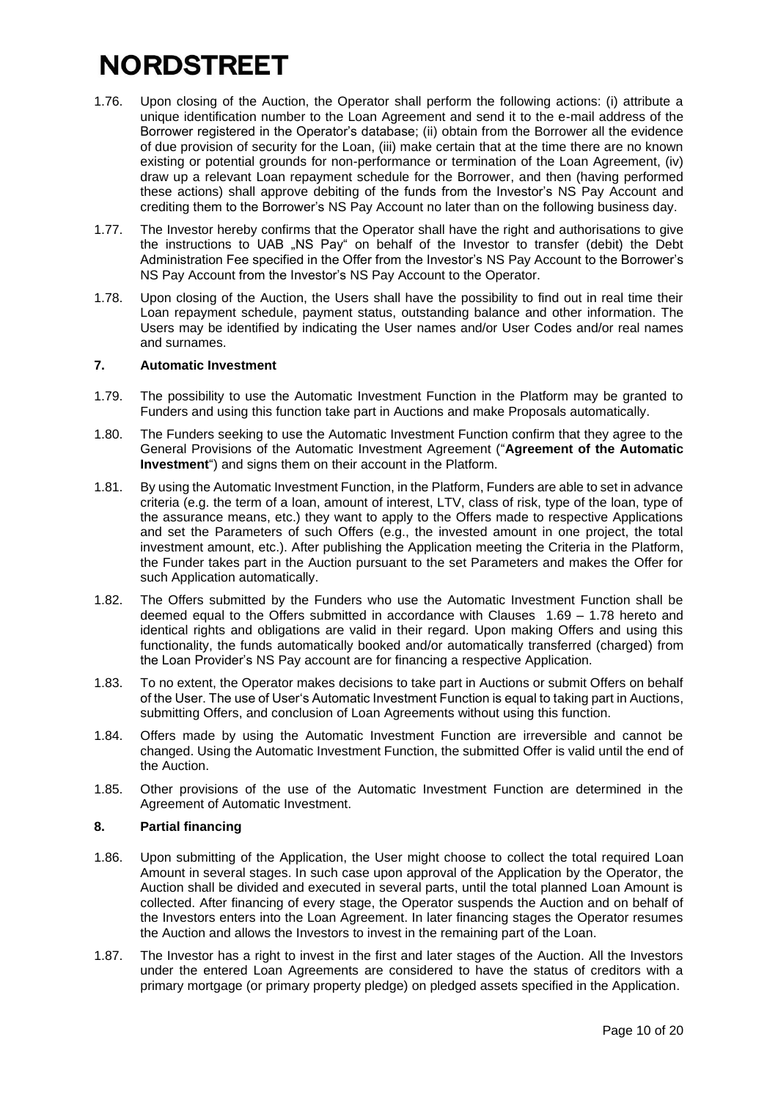- 1.76. Upon closing of the Auction, the Operator shall perform the following actions: (i) attribute a unique identification number to the Loan Agreement and send it to the e-mail address of the Borrower registered in the Operator's database; (ii) obtain from the Borrower all the evidence of due provision of security for the Loan, (iii) make certain that at the time there are no known existing or potential grounds for non-performance or termination of the Loan Agreement, (iv) draw up a relevant Loan repayment schedule for the Borrower, and then (having performed these actions) shall approve debiting of the funds from the Investor's NS Pay Account and crediting them to the Borrower's NS Pay Account no later than on the following business day.
- 1.77. The Investor hereby confirms that the Operator shall have the right and authorisations to give the instructions to UAB "NS Pay" on behalf of the Investor to transfer (debit) the Debt Administration Fee specified in the Offer from the Investor's NS Pay Account to the Borrower's NS Pay Account from the Investor's NS Pay Account to the Operator.
- 1.78. Upon closing of the Auction, the Users shall have the possibility to find out in real time their Loan repayment schedule, payment status, outstanding balance and other information. The Users may be identified by indicating the User names and/or User Codes and/or real names and surnames.

### <span id="page-9-0"></span>**7. Automatic Investment**

- 1.79. The possibility to use the Automatic Investment Function in the Platform may be granted to Funders and using this function take part in Auctions and make Proposals automatically.
- 1.80. The Funders seeking to use the Automatic Investment Function confirm that they agree to the General Provisions of the Automatic Investment Agreement ("**Agreement of the Automatic Investment**") and signs them on their account in the Platform.
- 1.81. By using the Automatic Investment Function, in the Platform, Funders are able to set in advance criteria (e.g. the term of a loan, amount of interest, LTV, class of risk, type of the loan, type of the assurance means, etc.) they want to apply to the Offers made to respective Applications and set the Parameters of such Offers (e.g., the invested amount in one project, the total investment amount, etc.). After publishing the Application meeting the Criteria in the Platform, the Funder takes part in the Auction pursuant to the set Parameters and makes the Offer for such Application automatically.
- 1.82. The Offers submitted by the Funders who use the Automatic Investment Function shall be deemed equal to the Offers submitted in accordance with Clauses [1.69](#page-8-0) – [1.78](#page-9-0) hereto and identical rights and obligations are valid in their regard. Upon making Offers and using this functionality, the funds automatically booked and/or automatically transferred (charged) from the Loan Provider's NS Pay account are for financing a respective Application.
- 1.83. To no extent, the Operator makes decisions to take part in Auctions or submit Offers on behalf of the User. The use of User's Automatic Investment Function is equal to taking part in Auctions, submitting Offers, and conclusion of Loan Agreements without using this function.
- 1.84. Offers made by using the Automatic Investment Function are irreversible and cannot be changed. Using the Automatic Investment Function, the submitted Offer is valid until the end of the Auction.
- 1.85. Other provisions of the use of the Automatic Investment Function are determined in the Agreement of Automatic Investment.

### **8. Partial financing**

- 1.86. Upon submitting of the Application, the User might choose to collect the total required Loan Amount in several stages. In such case upon approval of the Application by the Operator, the Auction shall be divided and executed in several parts, until the total planned Loan Amount is collected. After financing of every stage, the Operator suspends the Auction and on behalf of the Investors enters into the Loan Agreement. In later financing stages the Operator resumes the Auction and allows the Investors to invest in the remaining part of the Loan.
- 1.87. The Investor has a right to invest in the first and later stages of the Auction. All the Investors under the entered Loan Agreements are considered to have the status of creditors with a primary mortgage (or primary property pledge) on pledged assets specified in the Application.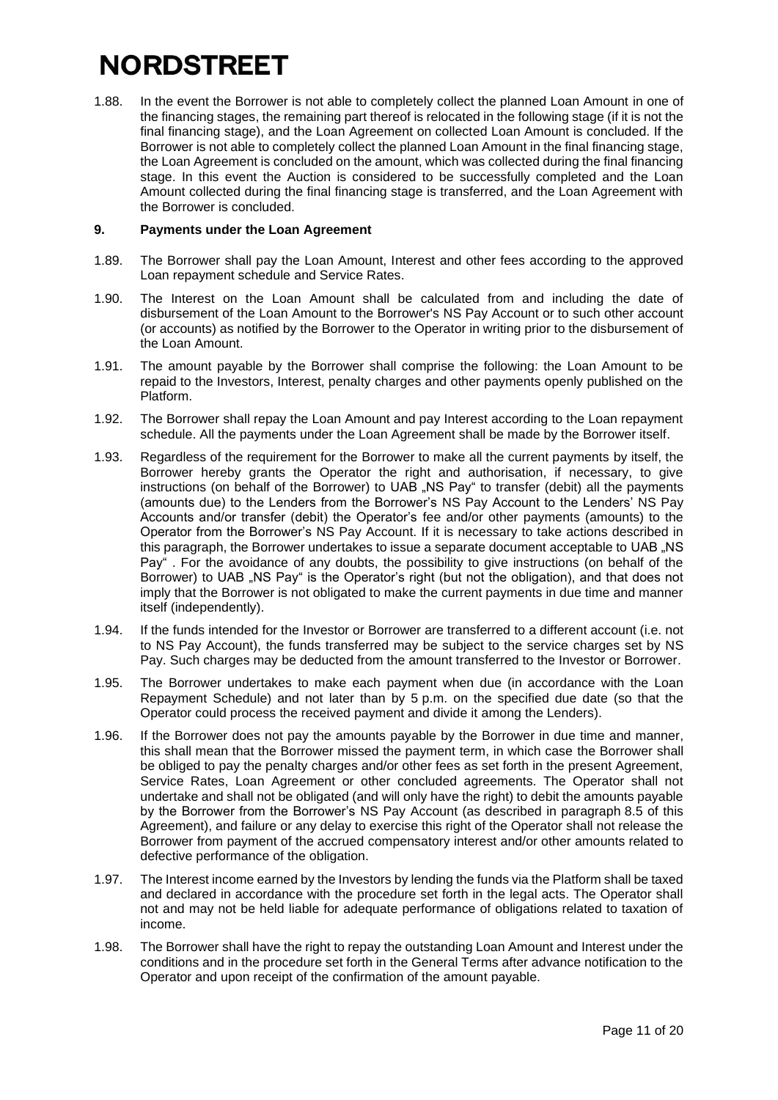1.88. In the event the Borrower is not able to completely collect the planned Loan Amount in one of the financing stages, the remaining part thereof is relocated in the following stage (if it is not the final financing stage), and the Loan Agreement on collected Loan Amount is concluded. If the Borrower is not able to completely collect the planned Loan Amount in the final financing stage, the Loan Agreement is concluded on the amount, which was collected during the final financing stage. In this event the Auction is considered to be successfully completed and the Loan Amount collected during the final financing stage is transferred, and the Loan Agreement with the Borrower is concluded.

### **9. Payments under the Loan Agreement**

- 1.89. The Borrower shall pay the Loan Amount, Interest and other fees according to the approved Loan repayment schedule and Service Rates.
- 1.90. The Interest on the Loan Amount shall be calculated from and including the date of disbursement of the Loan Amount to the Borrower's NS Pay Account or to such other account (or accounts) as notified by the Borrower to the Operator in writing prior to the disbursement of the Loan Amount.
- 1.91. The amount payable by the Borrower shall comprise the following: the Loan Amount to be repaid to the Investors, Interest, penalty charges and other payments openly published on the Platform.
- 1.92. The Borrower shall repay the Loan Amount and pay Interest according to the Loan repayment schedule. All the payments under the Loan Agreement shall be made by the Borrower itself.
- 1.93. Regardless of the requirement for the Borrower to make all the current payments by itself, the Borrower hereby grants the Operator the right and authorisation, if necessary, to give instructions (on behalf of the Borrower) to UAB .NS Pay" to transfer (debit) all the payments (amounts due) to the Lenders from the Borrower's NS Pay Account to the Lenders' NS Pay Accounts and/or transfer (debit) the Operator's fee and/or other payments (amounts) to the Operator from the Borrower's NS Pay Account. If it is necessary to take actions described in this paragraph, the Borrower undertakes to issue a separate document acceptable to UAB .NS Pay" . For the avoidance of any doubts, the possibility to give instructions (on behalf of the Borrower) to UAB "NS Pay" is the Operator's right (but not the obligation), and that does not imply that the Borrower is not obligated to make the current payments in due time and manner itself (independently).
- 1.94. If the funds intended for the Investor or Borrower are transferred to a different account (i.e. not to NS Pay Account), the funds transferred may be subject to the service charges set by NS Pay. Such charges may be deducted from the amount transferred to the Investor or Borrower.
- 1.95. The Borrower undertakes to make each payment when due (in accordance with the Loan Repayment Schedule) and not later than by 5 p.m. on the specified due date (so that the Operator could process the received payment and divide it among the Lenders).
- 1.96. If the Borrower does not pay the amounts payable by the Borrower in due time and manner, this shall mean that the Borrower missed the payment term, in which case the Borrower shall be obliged to pay the penalty charges and/or other fees as set forth in the present Agreement, Service Rates, Loan Agreement or other concluded agreements. The Operator shall not undertake and shall not be obligated (and will only have the right) to debit the amounts payable by the Borrower from the Borrower's NS Pay Account (as described in paragraph 8.5 of this Agreement), and failure or any delay to exercise this right of the Operator shall not release the Borrower from payment of the accrued compensatory interest and/or other amounts related to defective performance of the obligation.
- 1.97. The Interest income earned by the Investors by lending the funds via the Platform shall be taxed and declared in accordance with the procedure set forth in the legal acts. The Operator shall not and may not be held liable for adequate performance of obligations related to taxation of income.
- 1.98. The Borrower shall have the right to repay the outstanding Loan Amount and Interest under the conditions and in the procedure set forth in the General Terms after advance notification to the Operator and upon receipt of the confirmation of the amount payable.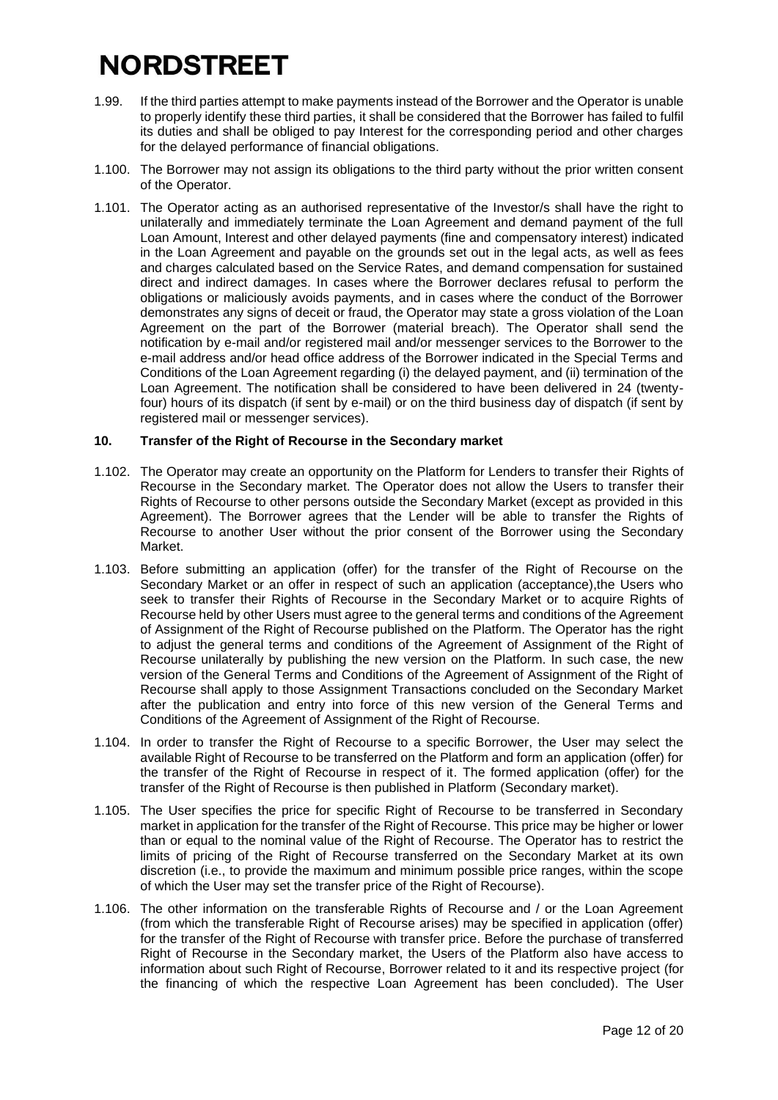- 1.99. If the third parties attempt to make payments instead of the Borrower and the Operator is unable to properly identify these third parties, it shall be considered that the Borrower has failed to fulfil its duties and shall be obliged to pay Interest for the corresponding period and other charges for the delayed performance of financial obligations.
- 1.100. The Borrower may not assign its obligations to the third party without the prior written consent of the Operator.
- 1.101. The Operator acting as an authorised representative of the Investor/s shall have the right to unilaterally and immediately terminate the Loan Agreement and demand payment of the full Loan Amount, Interest and other delayed payments (fine and compensatory interest) indicated in the Loan Agreement and payable on the grounds set out in the legal acts, as well as fees and charges calculated based on the Service Rates, and demand compensation for sustained direct and indirect damages. In cases where the Borrower declares refusal to perform the obligations or maliciously avoids payments, and in cases where the conduct of the Borrower demonstrates any signs of deceit or fraud, the Operator may state a gross violation of the Loan Agreement on the part of the Borrower (material breach). The Operator shall send the notification by e-mail and/or registered mail and/or messenger services to the Borrower to the e-mail address and/or head office address of the Borrower indicated in the Special Terms and Conditions of the Loan Agreement regarding (i) the delayed payment, and (ii) termination of the Loan Agreement. The notification shall be considered to have been delivered in 24 (twentyfour) hours of its dispatch (if sent by e-mail) or on the third business day of dispatch (if sent by registered mail or messenger services).

#### **10. Transfer of the Right of Recourse in the Secondary market**

- 1.102. The Operator may create an opportunity on the Platform for Lenders to transfer their Rights of Recourse in the Secondary market. The Operator does not allow the Users to transfer their Rights of Recourse to other persons outside the Secondary Market (except as provided in this Agreement). The Borrower agrees that the Lender will be able to transfer the Rights of Recourse to another User without the prior consent of the Borrower using the Secondary Market.
- 1.103. Before submitting an application (offer) for the transfer of the Right of Recourse on the Secondary Market or an offer in respect of such an application (acceptance),the Users who seek to transfer their Rights of Recourse in the Secondary Market or to acquire Rights of Recourse held by other Users must agree to the general terms and conditions of the Agreement of Assignment of the Right of Recourse published on the Platform. The Operator has the right to adjust the general terms and conditions of the Agreement of Assignment of the Right of Recourse unilaterally by publishing the new version on the Platform. In such case, the new version of the General Terms and Conditions of the Agreement of Assignment of the Right of Recourse shall apply to those Assignment Transactions concluded on the Secondary Market after the publication and entry into force of this new version of the General Terms and Conditions of the Agreement of Assignment of the Right of Recourse.
- 1.104. In order to transfer the Right of Recourse to a specific Borrower, the User may select the available Right of Recourse to be transferred on the Platform and form an application (offer) for the transfer of the Right of Recourse in respect of it. The formed application (offer) for the transfer of the Right of Recourse is then published in Platform (Secondary market).
- 1.105. The User specifies the price for specific Right of Recourse to be transferred in Secondary market in application for the transfer of the Right of Recourse. This price may be higher or lower than or equal to the nominal value of the Right of Recourse. The Operator has to restrict the limits of pricing of the Right of Recourse transferred on the Secondary Market at its own discretion (i.e., to provide the maximum and minimum possible price ranges, within the scope of which the User may set the transfer price of the Right of Recourse).
- 1.106. The other information on the transferable Rights of Recourse and / or the Loan Agreement (from which the transferable Right of Recourse arises) may be specified in application (offer) for the transfer of the Right of Recourse with transfer price. Before the purchase of transferred Right of Recourse in the Secondary market, the Users of the Platform also have access to information about such Right of Recourse, Borrower related to it and its respective project (for the financing of which the respective Loan Agreement has been concluded). The User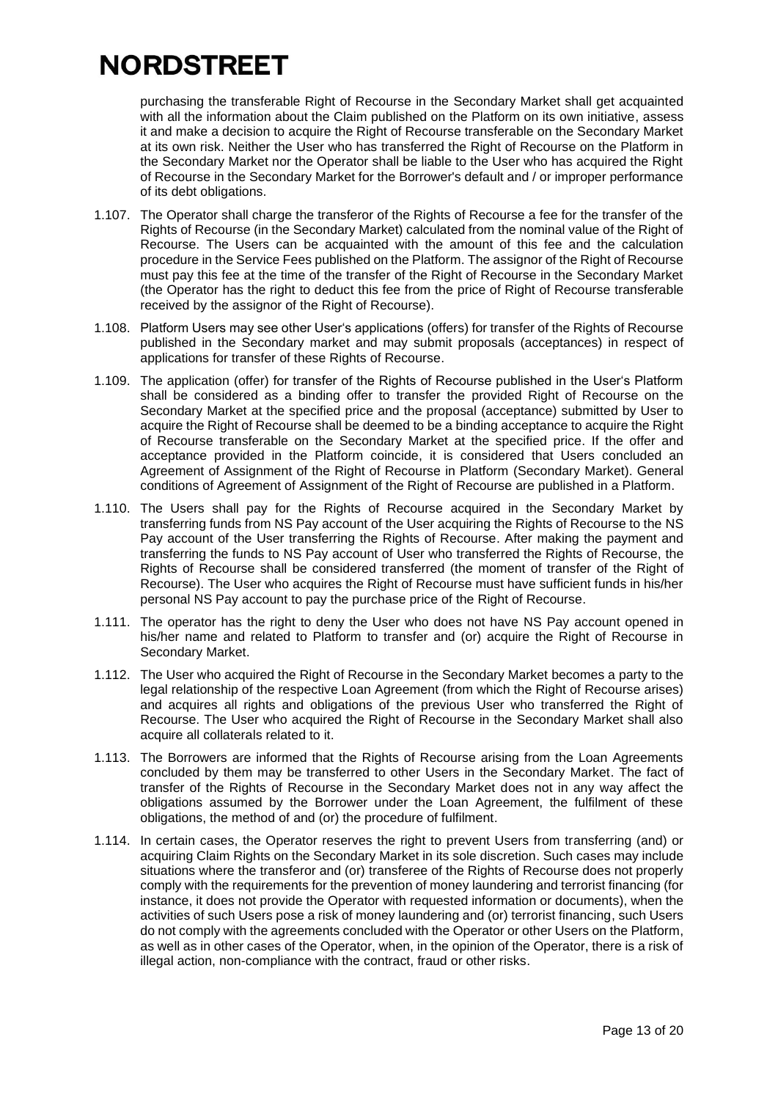purchasing the transferable Right of Recourse in the Secondary Market shall get acquainted with all the information about the Claim published on the Platform on its own initiative, assess it and make a decision to acquire the Right of Recourse transferable on the Secondary Market at its own risk. Neither the User who has transferred the Right of Recourse on the Platform in the Secondary Market nor the Operator shall be liable to the User who has acquired the Right of Recourse in the Secondary Market for the Borrower's default and / or improper performance of its debt obligations.

- 1.107. The Operator shall charge the transferor of the Rights of Recourse a fee for the transfer of the Rights of Recourse (in the Secondary Market) calculated from the nominal value of the Right of Recourse. The Users can be acquainted with the amount of this fee and the calculation procedure in the Service Fees published on the Platform. The assignor of the Right of Recourse must pay this fee at the time of the transfer of the Right of Recourse in the Secondary Market (the Operator has the right to deduct this fee from the price of Right of Recourse transferable received by the assignor of the Right of Recourse).
- 1.108. Platform Users may see other User's applications (offers) for transfer of the Rights of Recourse published in the Secondary market and may submit proposals (acceptances) in respect of applications for transfer of these Rights of Recourse.
- 1.109. The application (offer) for transfer of the Rights of Recourse published in the User's Platform shall be considered as a binding offer to transfer the provided Right of Recourse on the Secondary Market at the specified price and the proposal (acceptance) submitted by User to acquire the Right of Recourse shall be deemed to be a binding acceptance to acquire the Right of Recourse transferable on the Secondary Market at the specified price. If the offer and acceptance provided in the Platform coincide, it is considered that Users concluded an Agreement of Assignment of the Right of Recourse in Platform (Secondary Market). General conditions of Agreement of Assignment of the Right of Recourse are published in a Platform.
- 1.110. The Users shall pay for the Rights of Recourse acquired in the Secondary Market by transferring funds from NS Pay account of the User acquiring the Rights of Recourse to the NS Pay account of the User transferring the Rights of Recourse. After making the payment and transferring the funds to NS Pay account of User who transferred the Rights of Recourse, the Rights of Recourse shall be considered transferred (the moment of transfer of the Right of Recourse). The User who acquires the Right of Recourse must have sufficient funds in his/her personal NS Pay account to pay the purchase price of the Right of Recourse.
- 1.111. The operator has the right to deny the User who does not have NS Pay account opened in his/her name and related to Platform to transfer and (or) acquire the Right of Recourse in Secondary Market.
- 1.112. The User who acquired the Right of Recourse in the Secondary Market becomes a party to the legal relationship of the respective Loan Agreement (from which the Right of Recourse arises) and acquires all rights and obligations of the previous User who transferred the Right of Recourse. The User who acquired the Right of Recourse in the Secondary Market shall also acquire all collaterals related to it.
- 1.113. The Borrowers are informed that the Rights of Recourse arising from the Loan Agreements concluded by them may be transferred to other Users in the Secondary Market. The fact of transfer of the Rights of Recourse in the Secondary Market does not in any way affect the obligations assumed by the Borrower under the Loan Agreement, the fulfilment of these obligations, the method of and (or) the procedure of fulfilment.
- 1.114. In certain cases, the Operator reserves the right to prevent Users from transferring (and) or acquiring Claim Rights on the Secondary Market in its sole discretion. Such cases may include situations where the transferor and (or) transferee of the Rights of Recourse does not properly comply with the requirements for the prevention of money laundering and terrorist financing (for instance, it does not provide the Operator with requested information or documents), when the activities of such Users pose a risk of money laundering and (or) terrorist financing, such Users do not comply with the agreements concluded with the Operator or other Users on the Platform, as well as in other cases of the Operator, when, in the opinion of the Operator, there is a risk of illegal action, non-compliance with the contract, fraud or other risks.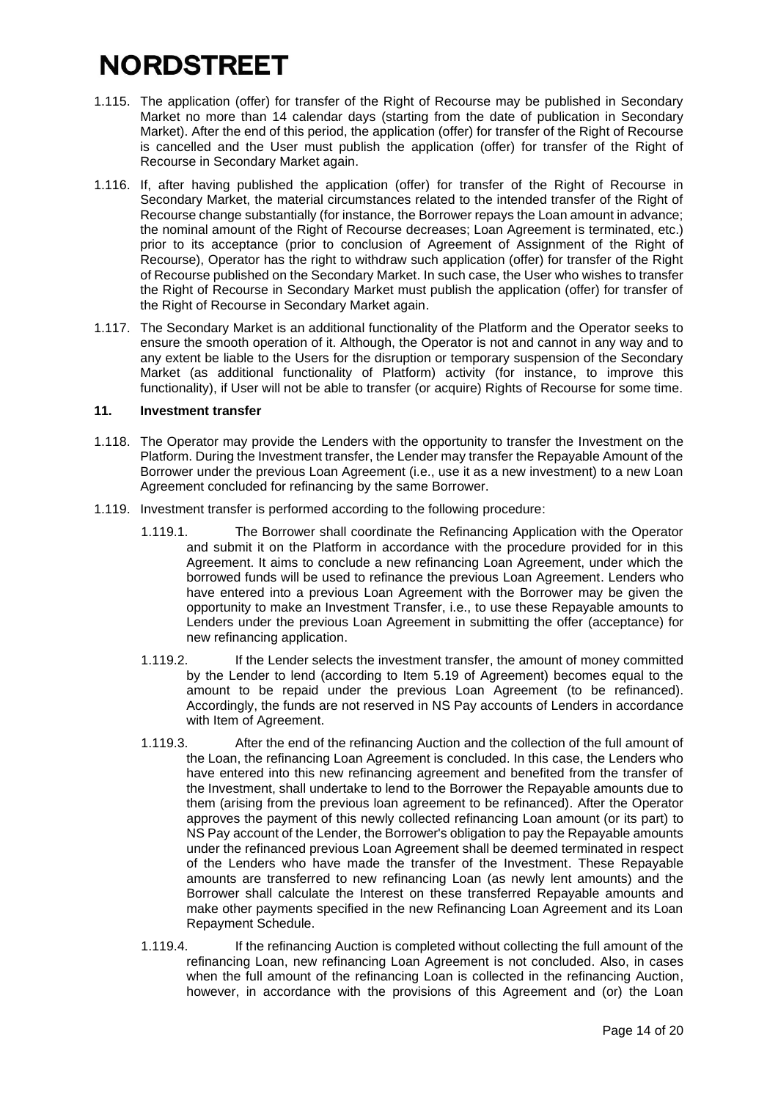- 1.115. The application (offer) for transfer of the Right of Recourse may be published in Secondary Market no more than 14 calendar days (starting from the date of publication in Secondary Market). After the end of this period, the application (offer) for transfer of the Right of Recourse is cancelled and the User must publish the application (offer) for transfer of the Right of Recourse in Secondary Market again.
- 1.116. If, after having published the application (offer) for transfer of the Right of Recourse in Secondary Market, the material circumstances related to the intended transfer of the Right of Recourse change substantially (for instance, the Borrower repays the Loan amount in advance; the nominal amount of the Right of Recourse decreases; Loan Agreement is terminated, etc.) prior to its acceptance (prior to conclusion of Agreement of Assignment of the Right of Recourse), Operator has the right to withdraw such application (offer) for transfer of the Right of Recourse published on the Secondary Market. In such case, the User who wishes to transfer the Right of Recourse in Secondary Market must publish the application (offer) for transfer of the Right of Recourse in Secondary Market again.
- 1.117. The Secondary Market is an additional functionality of the Platform and the Operator seeks to ensure the smooth operation of it. Although, the Operator is not and cannot in any way and to any extent be liable to the Users for the disruption or temporary suspension of the Secondary Market (as additional functionality of Platform) activity (for instance, to improve this functionality), if User will not be able to transfer (or acquire) Rights of Recourse for some time.

#### **11. Investment transfer**

- 1.118. The Operator may provide the Lenders with the opportunity to transfer the Investment on the Platform. During the Investment transfer, the Lender may transfer the Repayable Amount of the Borrower under the previous Loan Agreement (i.e., use it as a new investment) to a new Loan Agreement concluded for refinancing by the same Borrower.
- 1.119. Investment transfer is performed according to the following procedure:
	- 1.119.1. The Borrower shall coordinate the Refinancing Application with the Operator and submit it on the Platform in accordance with the procedure provided for in this Agreement. It aims to conclude a new refinancing Loan Agreement, under which the borrowed funds will be used to refinance the previous Loan Agreement. Lenders who have entered into a previous Loan Agreement with the Borrower may be given the opportunity to make an Investment Transfer, i.e., to use these Repayable amounts to Lenders under the previous Loan Agreement in submitting the offer (acceptance) for new refinancing application.
	- 1.119.2. If the Lender selects the investment transfer, the amount of money committed by the Lender to lend (according to Item 5.19 of Agreement) becomes equal to the amount to be repaid under the previous Loan Agreement (to be refinanced). Accordingly, the funds are not reserved in NS Pay accounts of Lenders in accordance with Item of Agreement.
	- 1.119.3. After the end of the refinancing Auction and the collection of the full amount of the Loan, the refinancing Loan Agreement is concluded. In this case, the Lenders who have entered into this new refinancing agreement and benefited from the transfer of the Investment, shall undertake to lend to the Borrower the Repayable amounts due to them (arising from the previous loan agreement to be refinanced). After the Operator approves the payment of this newly collected refinancing Loan amount (or its part) to NS Pay account of the Lender, the Borrower's obligation to pay the Repayable amounts under the refinanced previous Loan Agreement shall be deemed terminated in respect of the Lenders who have made the transfer of the Investment. These Repayable amounts are transferred to new refinancing Loan (as newly lent amounts) and the Borrower shall calculate the Interest on these transferred Repayable amounts and make other payments specified in the new Refinancing Loan Agreement and its Loan Repayment Schedule.
	- 1.119.4. If the refinancing Auction is completed without collecting the full amount of the refinancing Loan, new refinancing Loan Agreement is not concluded. Also, in cases when the full amount of the refinancing Loan is collected in the refinancing Auction, however, in accordance with the provisions of this Agreement and (or) the Loan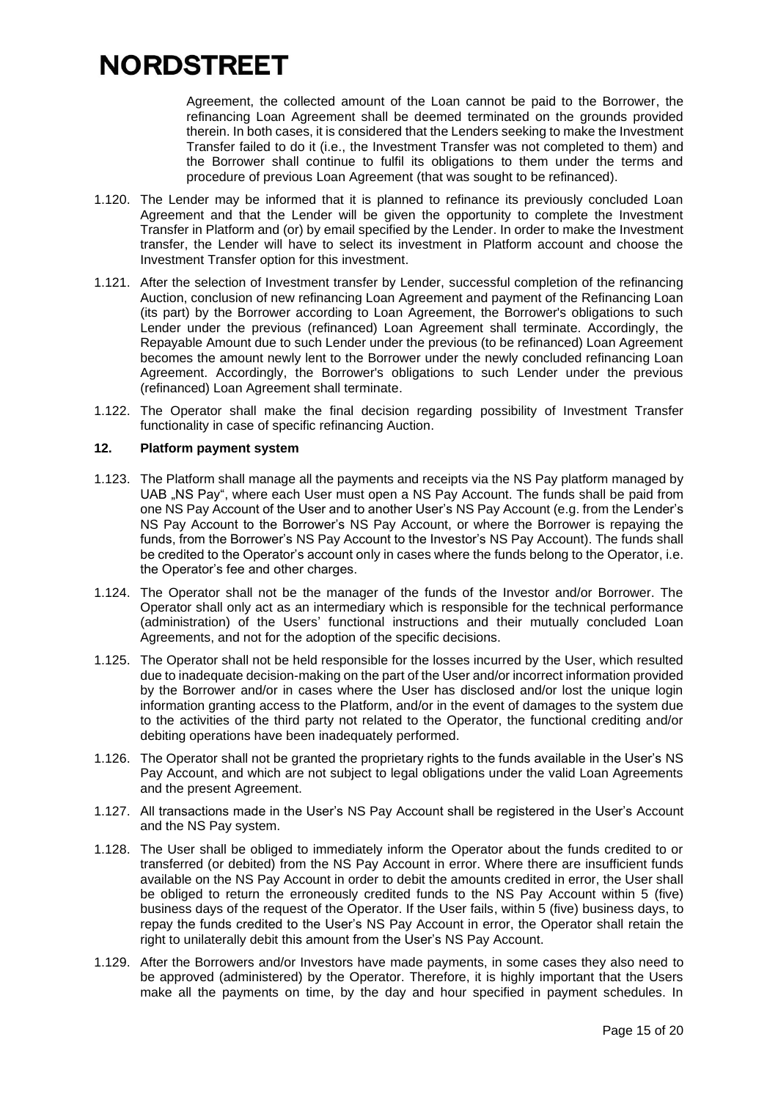Agreement, the collected amount of the Loan cannot be paid to the Borrower, the refinancing Loan Agreement shall be deemed terminated on the grounds provided therein. In both cases, it is considered that the Lenders seeking to make the Investment Transfer failed to do it (i.e., the Investment Transfer was not completed to them) and the Borrower shall continue to fulfil its obligations to them under the terms and procedure of previous Loan Agreement (that was sought to be refinanced).

- 1.120. The Lender may be informed that it is planned to refinance its previously concluded Loan Agreement and that the Lender will be given the opportunity to complete the Investment Transfer in Platform and (or) by email specified by the Lender. In order to make the Investment transfer, the Lender will have to select its investment in Platform account and choose the Investment Transfer option for this investment.
- 1.121. After the selection of Investment transfer by Lender, successful completion of the refinancing Auction, conclusion of new refinancing Loan Agreement and payment of the Refinancing Loan (its part) by the Borrower according to Loan Agreement, the Borrower's obligations to such Lender under the previous (refinanced) Loan Agreement shall terminate. Accordingly, the Repayable Amount due to such Lender under the previous (to be refinanced) Loan Agreement becomes the amount newly lent to the Borrower under the newly concluded refinancing Loan Agreement. Accordingly, the Borrower's obligations to such Lender under the previous (refinanced) Loan Agreement shall terminate.
- 1.122. The Operator shall make the final decision regarding possibility of Investment Transfer functionality in case of specific refinancing Auction.

#### **12. Platform payment system**

- 1.123. The Platform shall manage all the payments and receipts via the NS Pay platform managed by UAB ..NS Pay", where each User must open a NS Pay Account. The funds shall be paid from one NS Pay Account of the User and to another User's NS Pay Account (e.g. from the Lender's NS Pay Account to the Borrower's NS Pay Account, or where the Borrower is repaying the funds, from the Borrower's NS Pay Account to the Investor's NS Pay Account). The funds shall be credited to the Operator's account only in cases where the funds belong to the Operator, i.e. the Operator's fee and other charges.
- 1.124. The Operator shall not be the manager of the funds of the Investor and/or Borrower. The Operator shall only act as an intermediary which is responsible for the technical performance (administration) of the Users' functional instructions and their mutually concluded Loan Agreements, and not for the adoption of the specific decisions.
- 1.125. The Operator shall not be held responsible for the losses incurred by the User, which resulted due to inadequate decision-making on the part of the User and/or incorrect information provided by the Borrower and/or in cases where the User has disclosed and/or lost the unique login information granting access to the Platform, and/or in the event of damages to the system due to the activities of the third party not related to the Operator, the functional crediting and/or debiting operations have been inadequately performed.
- 1.126. The Operator shall not be granted the proprietary rights to the funds available in the User's NS Pay Account, and which are not subject to legal obligations under the valid Loan Agreements and the present Agreement.
- 1.127. All transactions made in the User's NS Pay Account shall be registered in the User's Account and the NS Pay system.
- 1.128. The User shall be obliged to immediately inform the Operator about the funds credited to or transferred (or debited) from the NS Pay Account in error. Where there are insufficient funds available on the NS Pay Account in order to debit the amounts credited in error, the User shall be obliged to return the erroneously credited funds to the NS Pay Account within 5 (five) business days of the request of the Operator. If the User fails, within 5 (five) business days, to repay the funds credited to the User's NS Pay Account in error, the Operator shall retain the right to unilaterally debit this amount from the User's NS Pay Account.
- 1.129. After the Borrowers and/or Investors have made payments, in some cases they also need to be approved (administered) by the Operator. Therefore, it is highly important that the Users make all the payments on time, by the day and hour specified in payment schedules. In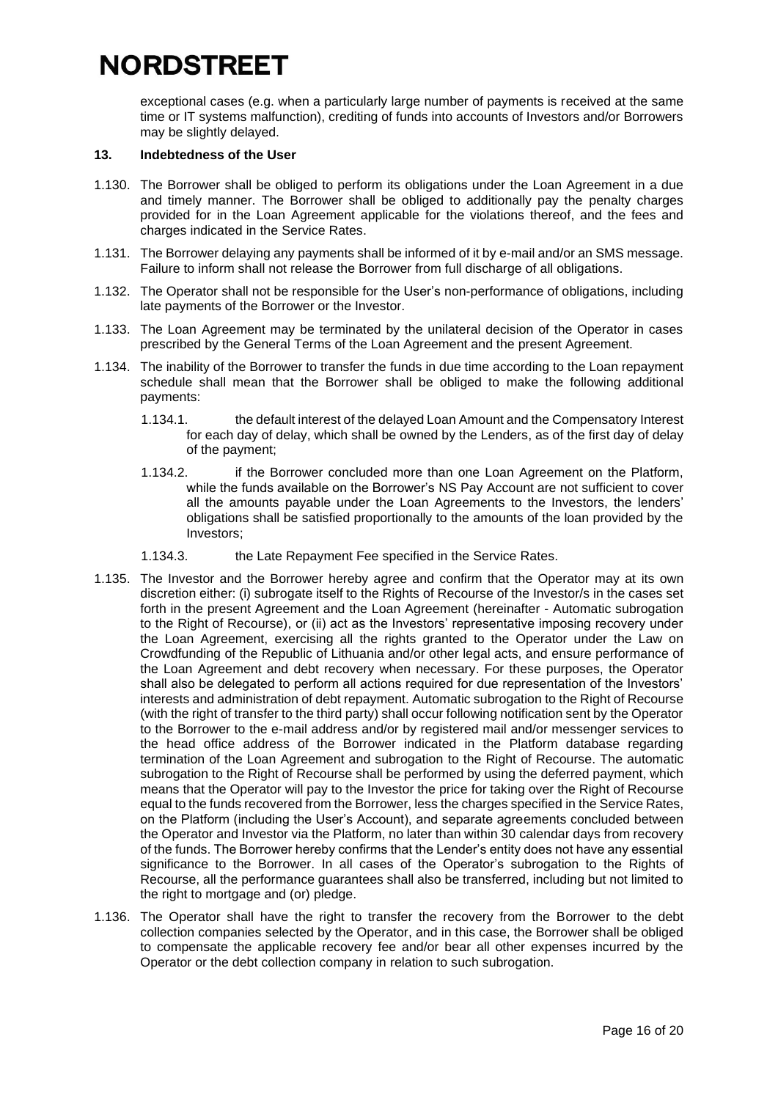exceptional cases (e.g. when a particularly large number of payments is received at the same time or IT systems malfunction), crediting of funds into accounts of Investors and/or Borrowers may be slightly delayed.

### **13. Indebtedness of the User**

- 1.130. The Borrower shall be obliged to perform its obligations under the Loan Agreement in a due and timely manner. The Borrower shall be obliged to additionally pay the penalty charges provided for in the Loan Agreement applicable for the violations thereof, and the fees and charges indicated in the Service Rates.
- 1.131. The Borrower delaying any payments shall be informed of it by e-mail and/or an SMS message. Failure to inform shall not release the Borrower from full discharge of all obligations.
- 1.132. The Operator shall not be responsible for the User's non-performance of obligations, including late payments of the Borrower or the Investor.
- 1.133. The Loan Agreement may be terminated by the unilateral decision of the Operator in cases prescribed by the General Terms of the Loan Agreement and the present Agreement.
- 1.134. The inability of the Borrower to transfer the funds in due time according to the Loan repayment schedule shall mean that the Borrower shall be obliged to make the following additional payments:
	- 1.134.1. the default interest of the delayed Loan Amount and the Compensatory Interest for each day of delay, which shall be owned by the Lenders, as of the first day of delay of the payment;
	- 1.134.2. if the Borrower concluded more than one Loan Agreement on the Platform, while the funds available on the Borrower's NS Pay Account are not sufficient to cover all the amounts payable under the Loan Agreements to the Investors, the lenders' obligations shall be satisfied proportionally to the amounts of the loan provided by the Investors;
	- 1.134.3. the Late Repayment Fee specified in the Service Rates.
- 1.135. The Investor and the Borrower hereby agree and confirm that the Operator may at its own discretion either: (i) subrogate itself to the Rights of Recourse of the Investor/s in the cases set forth in the present Agreement and the Loan Agreement (hereinafter - Automatic subrogation to the Right of Recourse), or (ii) act as the Investors' representative imposing recovery under the Loan Agreement, exercising all the rights granted to the Operator under the Law on Crowdfunding of the Republic of Lithuania and/or other legal acts, and ensure performance of the Loan Agreement and debt recovery when necessary. For these purposes, the Operator shall also be delegated to perform all actions required for due representation of the Investors' interests and administration of debt repayment. Automatic subrogation to the Right of Recourse (with the right of transfer to the third party) shall occur following notification sent by the Operator to the Borrower to the e-mail address and/or by registered mail and/or messenger services to the head office address of the Borrower indicated in the Platform database regarding termination of the Loan Agreement and subrogation to the Right of Recourse. The automatic subrogation to the Right of Recourse shall be performed by using the deferred payment, which means that the Operator will pay to the Investor the price for taking over the Right of Recourse equal to the funds recovered from the Borrower, less the charges specified in the Service Rates, on the Platform (including the User's Account), and separate agreements concluded between the Operator and Investor via the Platform, no later than within 30 calendar days from recovery of the funds. The Borrower hereby confirms that the Lender's entity does not have any essential significance to the Borrower. In all cases of the Operator's subrogation to the Rights of Recourse, all the performance guarantees shall also be transferred, including but not limited to the right to mortgage and (or) pledge.
- 1.136. The Operator shall have the right to transfer the recovery from the Borrower to the debt collection companies selected by the Operator, and in this case, the Borrower shall be obliged to compensate the applicable recovery fee and/or bear all other expenses incurred by the Operator or the debt collection company in relation to such subrogation.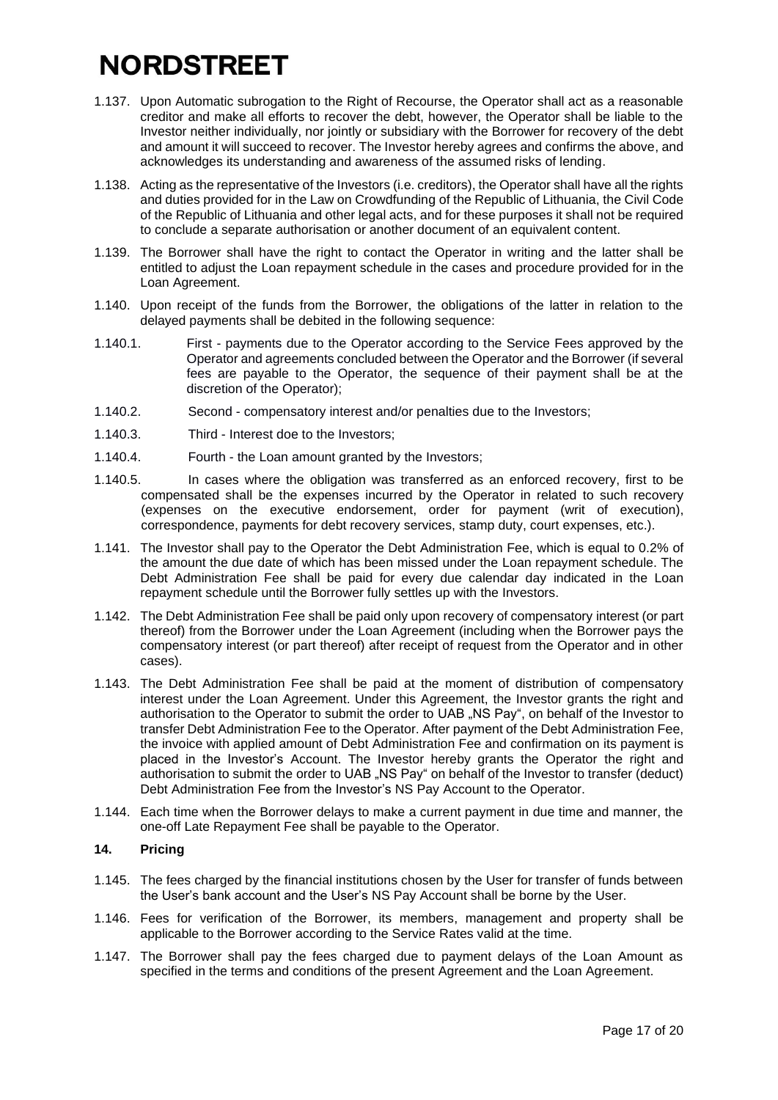- 1.137. Upon Automatic subrogation to the Right of Recourse, the Operator shall act as a reasonable creditor and make all efforts to recover the debt, however, the Operator shall be liable to the Investor neither individually, nor jointly or subsidiary with the Borrower for recovery of the debt and amount it will succeed to recover. The Investor hereby agrees and confirms the above, and acknowledges its understanding and awareness of the assumed risks of lending.
- 1.138. Acting as the representative of the Investors (i.e. creditors), the Operator shall have all the rights and duties provided for in the Law on Crowdfunding of the Republic of Lithuania, the Civil Code of the Republic of Lithuania and other legal acts, and for these purposes it shall not be required to conclude a separate authorisation or another document of an equivalent content.
- 1.139. The Borrower shall have the right to contact the Operator in writing and the latter shall be entitled to adjust the Loan repayment schedule in the cases and procedure provided for in the Loan Agreement.
- 1.140. Upon receipt of the funds from the Borrower, the obligations of the latter in relation to the delayed payments shall be debited in the following sequence:
- 1.140.1. First payments due to the Operator according to the Service Fees approved by the Operator and agreements concluded between the Operator and the Borrower (if several fees are payable to the Operator, the sequence of their payment shall be at the discretion of the Operator);
- 1.140.2. Second compensatory interest and/or penalties due to the Investors;
- 1.140.3. Third Interest doe to the Investors;
- 1.140.4. Fourth the Loan amount granted by the Investors;
- 1.140.5. In cases where the obligation was transferred as an enforced recovery, first to be compensated shall be the expenses incurred by the Operator in related to such recovery (expenses on the executive endorsement, order for payment (writ of execution), correspondence, payments for debt recovery services, stamp duty, court expenses, etc.).
- 1.141. The Investor shall pay to the Operator the Debt Administration Fee, which is equal to 0.2% of the amount the due date of which has been missed under the Loan repayment schedule. The Debt Administration Fee shall be paid for every due calendar day indicated in the Loan repayment schedule until the Borrower fully settles up with the Investors.
- 1.142. The Debt Administration Fee shall be paid only upon recovery of compensatory interest (or part thereof) from the Borrower under the Loan Agreement (including when the Borrower pays the compensatory interest (or part thereof) after receipt of request from the Operator and in other cases).
- 1.143. The Debt Administration Fee shall be paid at the moment of distribution of compensatory interest under the Loan Agreement. Under this Agreement, the Investor grants the right and authorisation to the Operator to submit the order to UAB "NS Pay", on behalf of the Investor to transfer Debt Administration Fee to the Operator. After payment of the Debt Administration Fee, the invoice with applied amount of Debt Administration Fee and confirmation on its payment is placed in the Investor's Account. The Investor hereby grants the Operator the right and authorisation to submit the order to UAB ..NS Pay" on behalf of the Investor to transfer (deduct) Debt Administration Fee from the Investor's NS Pay Account to the Operator.
- 1.144. Each time when the Borrower delays to make a current payment in due time and manner, the one-off Late Repayment Fee shall be payable to the Operator.

### **14. Pricing**

- 1.145. The fees charged by the financial institutions chosen by the User for transfer of funds between the User's bank account and the User's NS Pay Account shall be borne by the User.
- 1.146. Fees for verification of the Borrower, its members, management and property shall be applicable to the Borrower according to the Service Rates valid at the time.
- 1.147. The Borrower shall pay the fees charged due to payment delays of the Loan Amount as specified in the terms and conditions of the present Agreement and the Loan Agreement.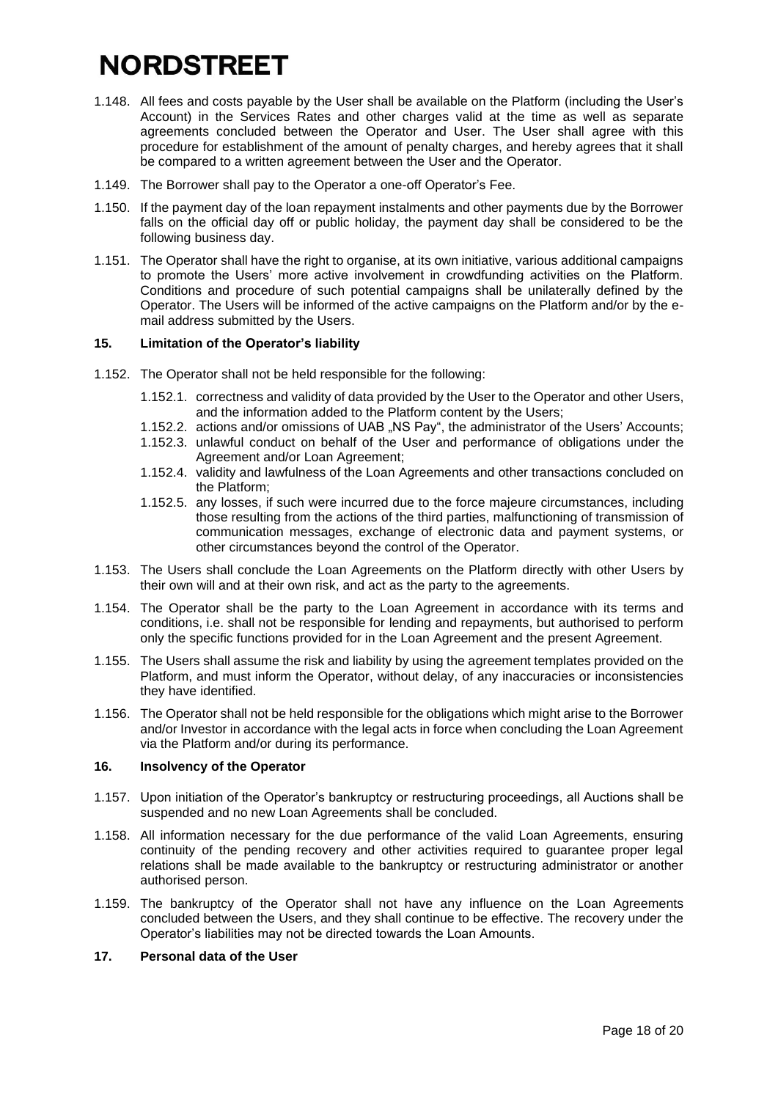- 1.148. All fees and costs payable by the User shall be available on the Platform (including the User's Account) in the Services Rates and other charges valid at the time as well as separate agreements concluded between the Operator and User. The User shall agree with this procedure for establishment of the amount of penalty charges, and hereby agrees that it shall be compared to a written agreement between the User and the Operator.
- 1.149. The Borrower shall pay to the Operator a one-off Operator's Fee.
- 1.150. If the payment day of the loan repayment instalments and other payments due by the Borrower falls on the official day off or public holiday, the payment day shall be considered to be the following business day.
- 1.151. The Operator shall have the right to organise, at its own initiative, various additional campaigns to promote the Users' more active involvement in crowdfunding activities on the Platform. Conditions and procedure of such potential campaigns shall be unilaterally defined by the Operator. The Users will be informed of the active campaigns on the Platform and/or by the email address submitted by the Users.

### **15. Limitation of the Operator's liability**

- 1.152. The Operator shall not be held responsible for the following:
	- 1.152.1. correctness and validity of data provided by the User to the Operator and other Users, and the information added to the Platform content by the Users;
	- 1.152.2. actions and/or omissions of UAB "NS Pay", the administrator of the Users' Accounts;
	- 1.152.3. unlawful conduct on behalf of the User and performance of obligations under the Agreement and/or Loan Agreement;
	- 1.152.4. validity and lawfulness of the Loan Agreements and other transactions concluded on the Platform;
	- 1.152.5. any losses, if such were incurred due to the force majeure circumstances, including those resulting from the actions of the third parties, malfunctioning of transmission of communication messages, exchange of electronic data and payment systems, or other circumstances beyond the control of the Operator.
- 1.153. The Users shall conclude the Loan Agreements on the Platform directly with other Users by their own will and at their own risk, and act as the party to the agreements.
- 1.154. The Operator shall be the party to the Loan Agreement in accordance with its terms and conditions, i.e. shall not be responsible for lending and repayments, but authorised to perform only the specific functions provided for in the Loan Agreement and the present Agreement.
- 1.155. The Users shall assume the risk and liability by using the agreement templates provided on the Platform, and must inform the Operator, without delay, of any inaccuracies or inconsistencies they have identified.
- 1.156. The Operator shall not be held responsible for the obligations which might arise to the Borrower and/or Investor in accordance with the legal acts in force when concluding the Loan Agreement via the Platform and/or during its performance.

### **16. Insolvency of the Operator**

- 1.157. Upon initiation of the Operator's bankruptcy or restructuring proceedings, all Auctions shall be suspended and no new Loan Agreements shall be concluded.
- 1.158. All information necessary for the due performance of the valid Loan Agreements, ensuring continuity of the pending recovery and other activities required to guarantee proper legal relations shall be made available to the bankruptcy or restructuring administrator or another authorised person.
- 1.159. The bankruptcy of the Operator shall not have any influence on the Loan Agreements concluded between the Users, and they shall continue to be effective. The recovery under the Operator's liabilities may not be directed towards the Loan Amounts.

#### **17. Personal data of the User**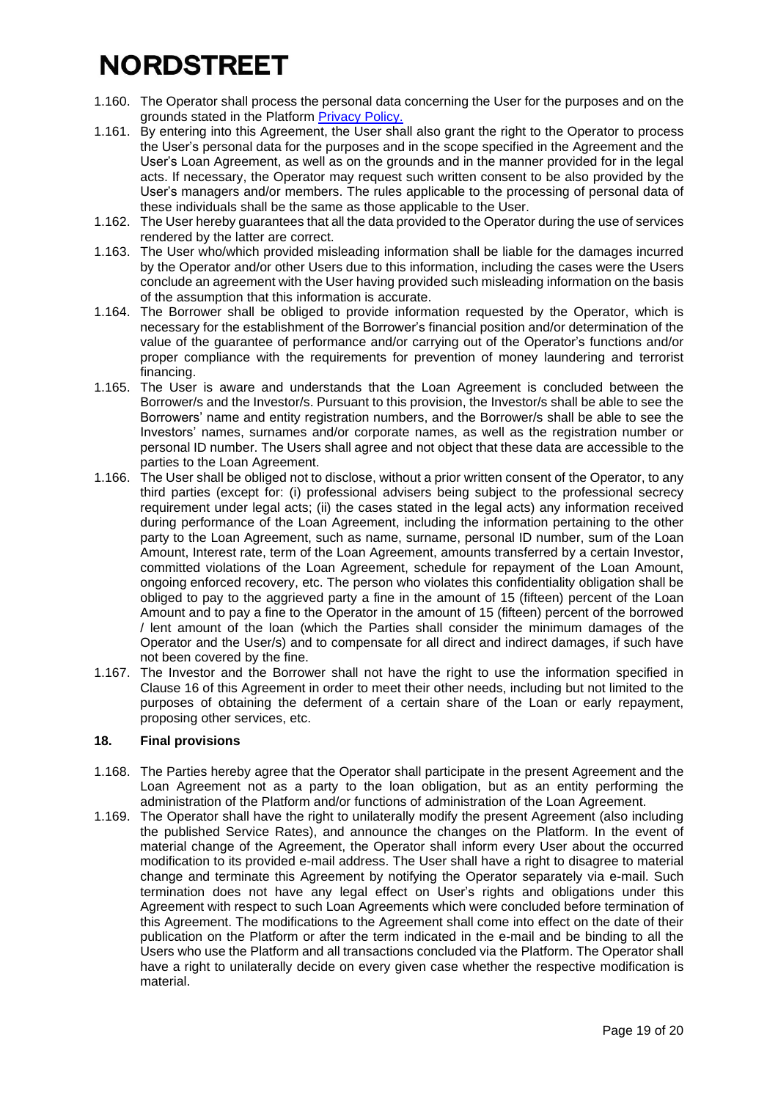- 1.160. The Operator shall process the personal data concerning the User for the purposes and on the grounds stated in the Platform [Privacy](https://nordstreet.com/privacy-policy) Policy.
- 1.161. By entering into this Agreement, the User shall also grant the right to the Operator to process the User's personal data for the purposes and in the scope specified in the Agreement and the User's Loan Agreement, as well as on the grounds and in the manner provided for in the legal acts. If necessary, the Operator may request such written consent to be also provided by the User's managers and/or members. The rules applicable to the processing of personal data of these individuals shall be the same as those applicable to the User.
- 1.162. The User hereby guarantees that all the data provided to the Operator during the use of services rendered by the latter are correct.
- 1.163. The User who/which provided misleading information shall be liable for the damages incurred by the Operator and/or other Users due to this information, including the cases were the Users conclude an agreement with the User having provided such misleading information on the basis of the assumption that this information is accurate.
- 1.164. The Borrower shall be obliged to provide information requested by the Operator, which is necessary for the establishment of the Borrower's financial position and/or determination of the value of the guarantee of performance and/or carrying out of the Operator's functions and/or proper compliance with the requirements for prevention of money laundering and terrorist financing.
- 1.165. The User is aware and understands that the Loan Agreement is concluded between the Borrower/s and the Investor/s. Pursuant to this provision, the Investor/s shall be able to see the Borrowers' name and entity registration numbers, and the Borrower/s shall be able to see the Investors' names, surnames and/or corporate names, as well as the registration number or personal ID number. The Users shall agree and not object that these data are accessible to the parties to the Loan Agreement.
- 1.166. The User shall be obliged not to disclose, without a prior written consent of the Operator, to any third parties (except for: (i) professional advisers being subject to the professional secrecy requirement under legal acts; (ii) the cases stated in the legal acts) any information received during performance of the Loan Agreement, including the information pertaining to the other party to the Loan Agreement, such as name, surname, personal ID number, sum of the Loan Amount, Interest rate, term of the Loan Agreement, amounts transferred by a certain Investor, committed violations of the Loan Agreement, schedule for repayment of the Loan Amount, ongoing enforced recovery, etc. The person who violates this confidentiality obligation shall be obliged to pay to the aggrieved party a fine in the amount of 15 (fifteen) percent of the Loan Amount and to pay a fine to the Operator in the amount of 15 (fifteen) percent of the borrowed / lent amount of the loan (which the Parties shall consider the minimum damages of the Operator and the User/s) and to compensate for all direct and indirect damages, if such have not been covered by the fine.
- 1.167. The Investor and the Borrower shall not have the right to use the information specified in Clause 16 of this Agreement in order to meet their other needs, including but not limited to the purposes of obtaining the deferment of a certain share of the Loan or early repayment, proposing other services, etc.

### **18. Final provisions**

- 1.168. The Parties hereby agree that the Operator shall participate in the present Agreement and the Loan Agreement not as a party to the loan obligation, but as an entity performing the administration of the Platform and/or functions of administration of the Loan Agreement.
- 1.169. The Operator shall have the right to unilaterally modify the present Agreement (also including the published Service Rates), and announce the changes on the Platform. In the event of material change of the Agreement, the Operator shall inform every User about the occurred modification to its provided e-mail address. The User shall have a right to disagree to material change and terminate this Agreement by notifying the Operator separately via e-mail. Such termination does not have any legal effect on User's rights and obligations under this Agreement with respect to such Loan Agreements which were concluded before termination of this Agreement. The modifications to the Agreement shall come into effect on the date of their publication on the Platform or after the term indicated in the e-mail and be binding to all the Users who use the Platform and all transactions concluded via the Platform. The Operator shall have a right to unilaterally decide on every given case whether the respective modification is material.